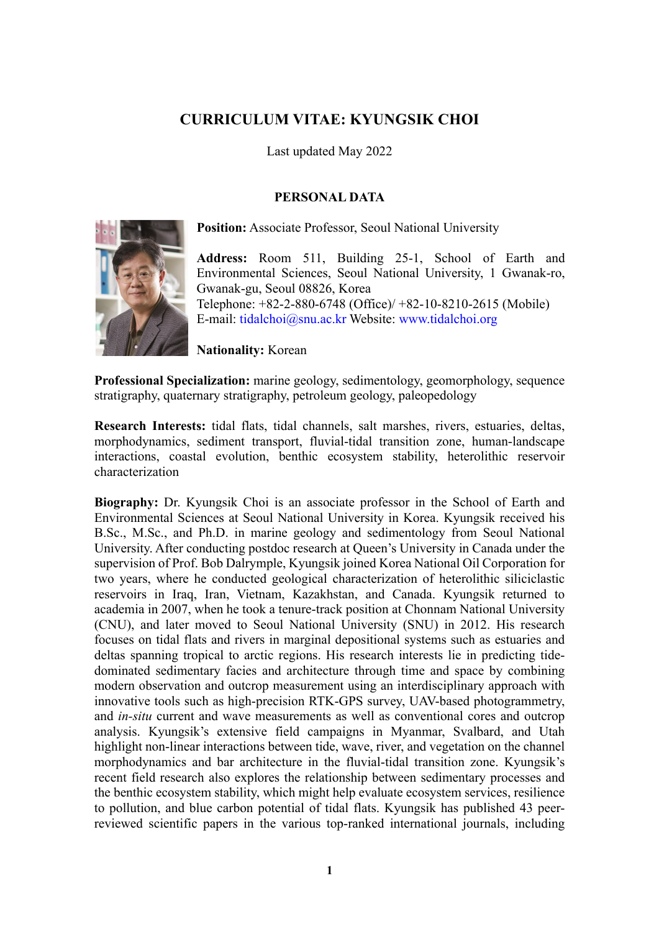# **CURRICULUM VITAE: KYUNGSIK CHOI**

Last updated May 2022

## **PERSONAL DATA**



**Position:** Associate Professor, Seoul National University

**Address:** Room 511, Building 25-1, School of Earth and Environmental Sciences, Seoul National University, 1 Gwanak-ro, Gwanak-gu, Seoul 08826, Korea Telephone: +82-2-880-6748 (Office)/ +82-10-8210-2615 (Mobile) E-mail: tidalchoi@snu.ac.kr Website: www.tidalchoi.org

**Nationality:** Korean

**Professional Specialization:** marine geology, sedimentology, geomorphology, sequence stratigraphy, quaternary stratigraphy, petroleum geology, paleopedology

**Research Interests:** tidal flats, tidal channels, salt marshes, rivers, estuaries, deltas, morphodynamics, sediment transport, fluvial-tidal transition zone, human-landscape interactions, coastal evolution, benthic ecosystem stability, heterolithic reservoir characterization

**Biography:** Dr. Kyungsik Choi is an associate professor in the School of Earth and Environmental Sciences at Seoul National University in Korea. Kyungsik received his B.Sc., M.Sc., and Ph.D. in marine geology and sedimentology from Seoul National University. After conducting postdoc research at Queen's University in Canada under the supervision of Prof. Bob Dalrymple, Kyungsik joined Korea National Oil Corporation for two years, where he conducted geological characterization of heterolithic siliciclastic reservoirs in Iraq, Iran, Vietnam, Kazakhstan, and Canada. Kyungsik returned to academia in 2007, when he took a tenure-track position at Chonnam National University (CNU), and later moved to Seoul National University (SNU) in 2012. His research focuses on tidal flats and rivers in marginal depositional systems such as estuaries and deltas spanning tropical to arctic regions. His research interests lie in predicting tidedominated sedimentary facies and architecture through time and space by combining modern observation and outcrop measurement using an interdisciplinary approach with innovative tools such as high-precision RTK-GPS survey, UAV-based photogrammetry, and *in-situ* current and wave measurements as well as conventional cores and outcrop analysis. Kyungsik's extensive field campaigns in Myanmar, Svalbard, and Utah highlight non-linear interactions between tide, wave, river, and vegetation on the channel morphodynamics and bar architecture in the fluvial-tidal transition zone. Kyungsik's recent field research also explores the relationship between sedimentary processes and the benthic ecosystem stability, which might help evaluate ecosystem services, resilience to pollution, and blue carbon potential of tidal flats. Kyungsik has published 43 peerreviewed scientific papers in the various top-ranked international journals, including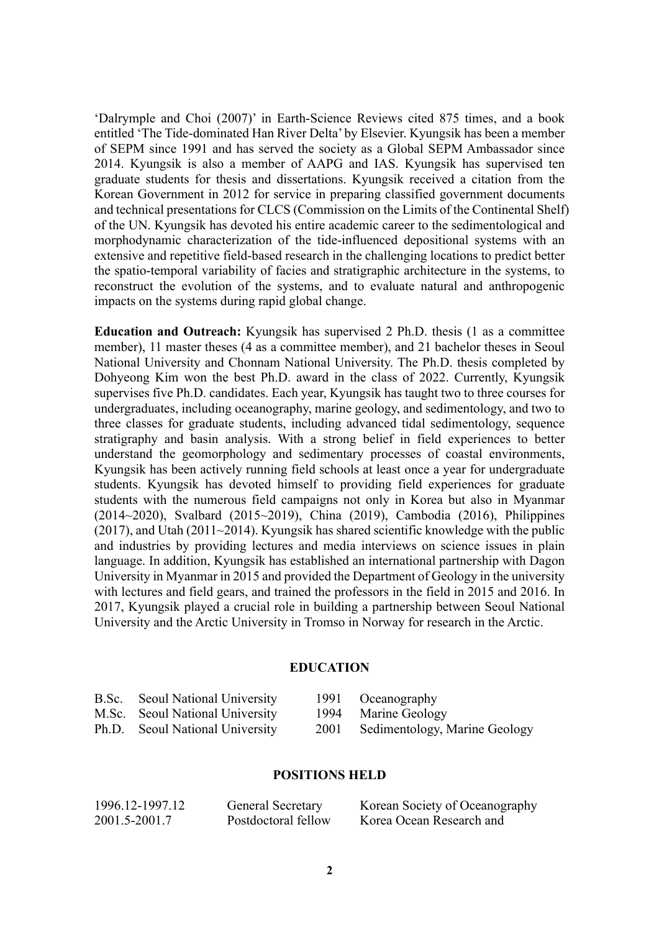'Dalrymple and Choi (2007)' in Earth-Science Reviews cited 875 times, and a book entitled 'The Tide-dominated Han River Delta' by Elsevier. Kyungsik has been a member of SEPM since 1991 and has served the society as a Global SEPM Ambassador since 2014. Kyungsik is also a member of AAPG and IAS. Kyungsik has supervised ten graduate students for thesis and dissertations. Kyungsik received a citation from the Korean Government in 2012 for service in preparing classified government documents and technical presentations for CLCS (Commission on the Limits of the Continental Shelf) of the UN. Kyungsik has devoted his entire academic career to the sedimentological and morphodynamic characterization of the tide-influenced depositional systems with an extensive and repetitive field-based research in the challenging locations to predict better the spatio-temporal variability of facies and stratigraphic architecture in the systems, to reconstruct the evolution of the systems, and to evaluate natural and anthropogenic impacts on the systems during rapid global change.

**Education and Outreach:** Kyungsik has supervised 2 Ph.D. thesis (1 as a committee member), 11 master theses (4 as a committee member), and 21 bachelor theses in Seoul National University and Chonnam National University. The Ph.D. thesis completed by Dohyeong Kim won the best Ph.D. award in the class of 2022. Currently, Kyungsik supervises five Ph.D. candidates. Each year, Kyungsik has taught two to three courses for undergraduates, including oceanography, marine geology, and sedimentology, and two to three classes for graduate students, including advanced tidal sedimentology, sequence stratigraphy and basin analysis. With a strong belief in field experiences to better understand the geomorphology and sedimentary processes of coastal environments, Kyungsik has been actively running field schools at least once a year for undergraduate students. Kyungsik has devoted himself to providing field experiences for graduate students with the numerous field campaigns not only in Korea but also in Myanmar (2014~2020), Svalbard (2015~2019), China (2019), Cambodia (2016), Philippines (2017), and Utah (2011~2014). Kyungsik has shared scientific knowledge with the public and industries by providing lectures and media interviews on science issues in plain language. In addition, Kyungsik has established an international partnership with Dagon University in Myanmar in 2015 and provided the Department of Geology in the university with lectures and field gears, and trained the professors in the field in 2015 and 2016. In 2017, Kyungsik played a crucial role in building a partnership between Seoul National University and the Arctic University in Tromso in Norway for research in the Arctic.

### **EDUCATION**

| B.Sc. Seoul National University | 1991 Oceanography                  |
|---------------------------------|------------------------------------|
| M.Sc. Seoul National University | 1994 Marine Geology                |
| Ph.D. Seoul National University | 2001 Sedimentology, Marine Geology |

#### **POSITIONS HELD**

| 1996.12-1997.12 | <b>General Secretary</b> | Korean Society of Oceanography |
|-----------------|--------------------------|--------------------------------|
| 2001.5-2001.7   | Postdoctoral fellow      | Korea Ocean Research and       |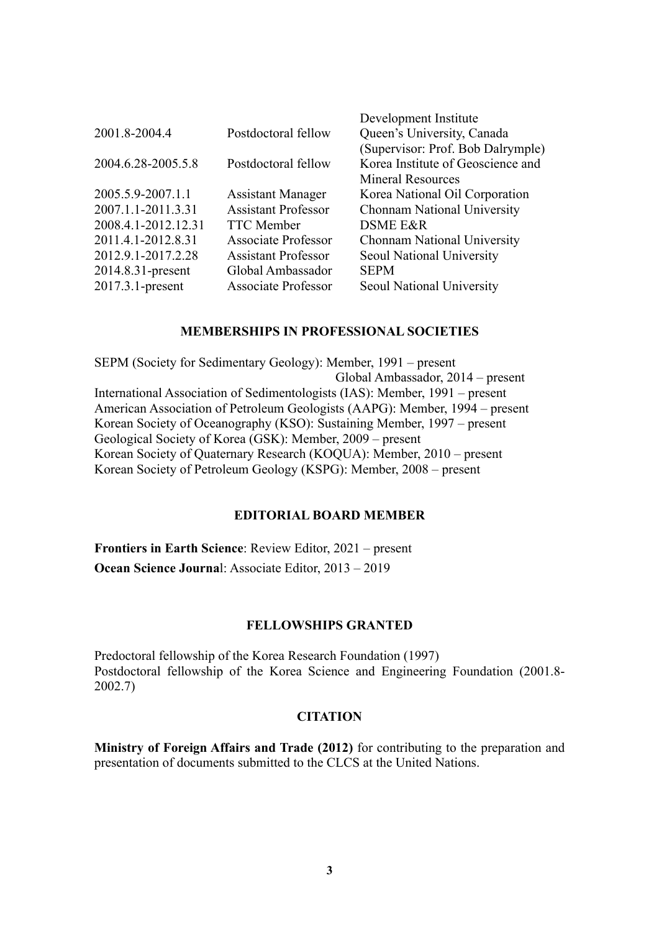| 2001.8-2004.4       | Postdoctoral fellow        | Development Institute<br>Queen's University, Canada |
|---------------------|----------------------------|-----------------------------------------------------|
|                     |                            | (Supervisor: Prof. Bob Dalrymple)                   |
| 2004.6.28-2005.5.8  | Postdoctoral fellow        | Korea Institute of Geoscience and                   |
|                     |                            | <b>Mineral Resources</b>                            |
| 2005.5.9-2007.1.1   | <b>Assistant Manager</b>   | Korea National Oil Corporation                      |
| 2007.1.1-2011.3.31  | <b>Assistant Professor</b> | Chonnam National University                         |
| 2008.4.1-2012.12.31 | <b>TTC</b> Member          | <b>DSME E&amp;R</b>                                 |
| 2011.4.1-2012.8.31  | <b>Associate Professor</b> | Chonnam National University                         |
| 2012.9.1-2017.2.28  | <b>Assistant Professor</b> | Seoul National University                           |
| 2014.8.31-present   | Global Ambassador          | <b>SEPM</b>                                         |
| 2017.3.1-present    | <b>Associate Professor</b> | Seoul National University                           |

#### **MEMBERSHIPS IN PROFESSIONAL SOCIETIES**

SEPM (Society for Sedimentary Geology): Member, 1991 – present Global Ambassador, 2014 – present International Association of Sedimentologists (IAS): Member, 1991 – present American Association of Petroleum Geologists (AAPG): Member, 1994 – present Korean Society of Oceanography (KSO): Sustaining Member, 1997 – present Geological Society of Korea (GSK): Member, 2009 – present Korean Society of Quaternary Research (KOQUA): Member, 2010 – present Korean Society of Petroleum Geology (KSPG): Member, 2008 – present

## **EDITORIAL BOARD MEMBER**

**Frontiers in Earth Science**: Review Editor, 2021 – present **Ocean Science Journa**l: Associate Editor, 2013 – 2019

## **FELLOWSHIPS GRANTED**

Predoctoral fellowship of the Korea Research Foundation (1997) Postdoctoral fellowship of the Korea Science and Engineering Foundation (2001.8- 2002.7)

#### **CITATION**

**Ministry of Foreign Affairs and Trade (2012)** for contributing to the preparation and presentation of documents submitted to the CLCS at the United Nations.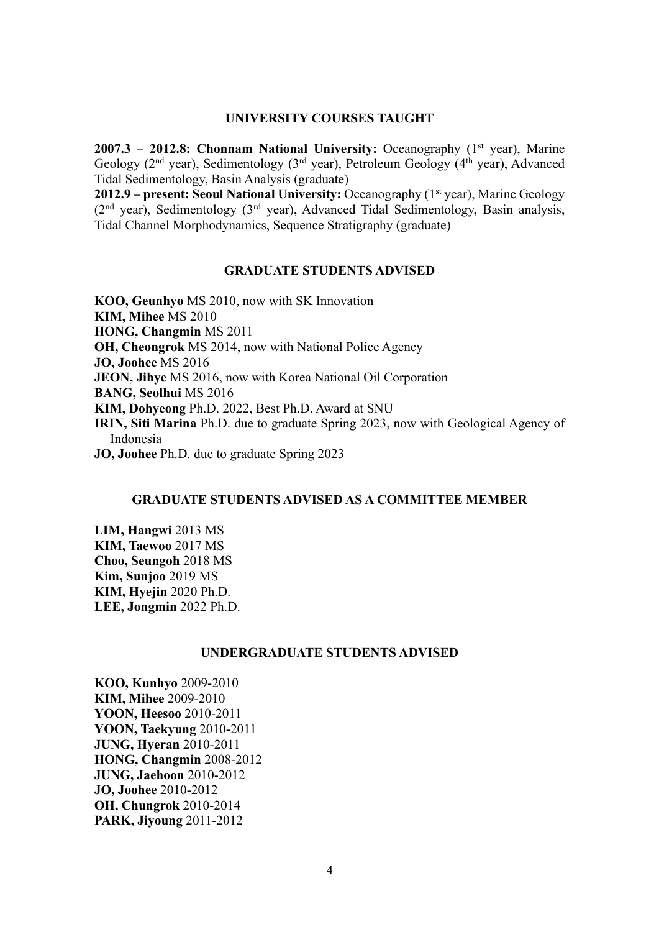#### **UNIVERSITY COURSES TAUGHT**

**2007.3 – 2012.8: Chonnam National University:** Oceanography (1<sup>st</sup> year), Marine Geology ( $2<sup>nd</sup>$  year), Sedimentology ( $3<sup>rd</sup>$  year), Petroleum Geology ( $4<sup>th</sup>$  year), Advanced Tidal Sedimentology, Basin Analysis (graduate)

**2012.9 – present: Seoul National University: Oceanography (1<sup>st</sup> year), Marine Geology**  $(2<sup>nd</sup>$  year), Sedimentology  $(3<sup>rd</sup>$  year), Advanced Tidal Sedimentology, Basin analysis, Tidal Channel Morphodynamics, Sequence Stratigraphy (graduate)

#### **GRADUATE STUDENTS ADVISED**

**KOO, Geunhyo** MS 2010, now with SK Innovation **KIM, Mihee** MS 2010 **HONG, Changmin** MS 2011 **OH, Cheongrok** MS 2014, now with National Police Agency **JO, Joohee** MS 2016 **JEON, Jihye** MS 2016, now with Korea National Oil Corporation **BANG, Seolhui** MS 2016 **KIM, Dohyeong** Ph.D. 2022, Best Ph.D. Award at SNU **IRIN, Siti Marina** Ph.D. due to graduate Spring 2023, now with Geological Agency of Indonesia **JO, Joohee** Ph.D. due to graduate Spring 2023

## **GRADUATE STUDENTS ADVISED AS A COMMITTEE MEMBER**

**LIM, Hangwi** 2013 MS **KIM, Taewoo** 2017 MS **Choo, Seungoh** 2018 MS **Kim, Sunjoo** 2019 MS **KIM, Hyejin** 2020 Ph.D. **LEE, Jongmin** 2022 Ph.D.

### **UNDERGRADUATE STUDENTS ADVISED**

**KOO, Kunhyo** 2009-2010 **KIM, Mihee** 2009-2010 **YOON, Heesoo** 2010-2011 **YOON, Taekyung** 2010-2011 **JUNG, Hyeran** 2010-2011 **HONG, Changmin** 2008-2012 **JUNG, Jaehoon** 2010-2012 **JO, Joohee** 2010-2012 **OH, Chungrok** 2010-2014 **PARK, Jiyoung** 2011-2012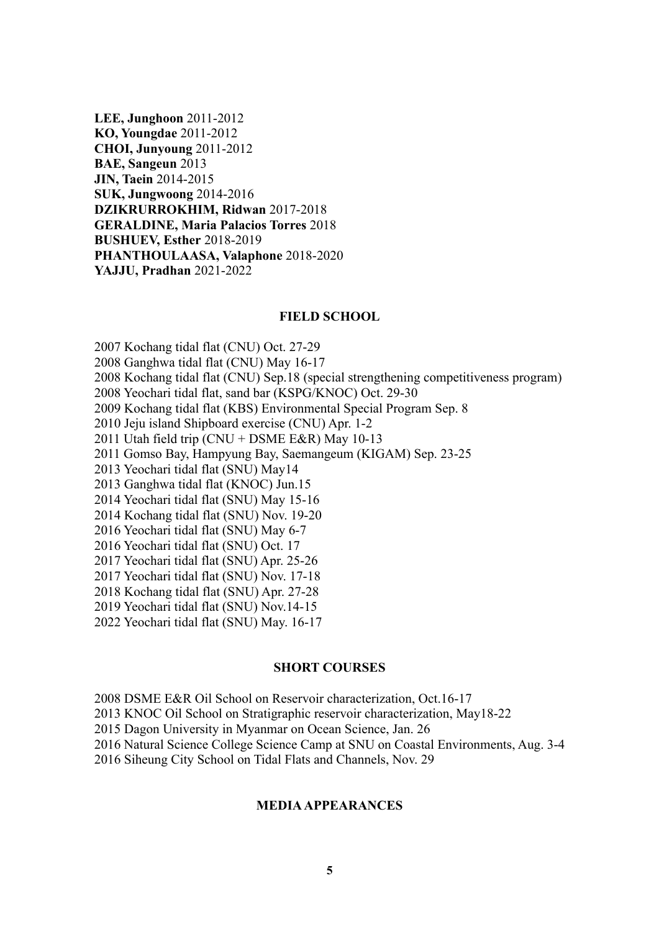**LEE, Junghoon** 2011-2012 **KO, Youngdae** 2011-2012 **CHOI, Junyoung** 2011-2012 **BAE, Sangeun** 2013 **JIN, Taein** 2014-2015 **SUK, Jungwoong** 2014-2016 **DZIKRURROKHIM, Ridwan** 2017-2018 **GERALDINE, Maria Palacios Torres** 2018 **BUSHUEV, Esther** 2018-2019 **PHANTHOULAASA, Valaphone** 2018-2020 **YAJJU, Pradhan** 2021-2022

#### **FIELD SCHOOL**

2007 Kochang tidal flat (CNU) Oct. 27-29

2008 Ganghwa tidal flat (CNU) May 16-17

2008 Kochang tidal flat (CNU) Sep.18 (special strengthening competitiveness program)

2008 Yeochari tidal flat, sand bar (KSPG/KNOC) Oct. 29-30

2009 Kochang tidal flat (KBS) Environmental Special Program Sep. 8

2010 Jeju island Shipboard exercise (CNU) Apr. 1-2

2011 Utah field trip (CNU + DSME E&R) May 10-13

2011 Gomso Bay, Hampyung Bay, Saemangeum (KIGAM) Sep. 23-25

2013 Yeochari tidal flat (SNU) May14

2013 Ganghwa tidal flat (KNOC) Jun.15

2014 Yeochari tidal flat (SNU) May 15-16

2014 Kochang tidal flat (SNU) Nov. 19-20

2016 Yeochari tidal flat (SNU) May 6-7

2016 Yeochari tidal flat (SNU) Oct. 17

2017 Yeochari tidal flat (SNU) Apr. 25-26

2017 Yeochari tidal flat (SNU) Nov. 17-18

2018 Kochang tidal flat (SNU) Apr. 27-28

2019 Yeochari tidal flat (SNU) Nov.14-15

2022 Yeochari tidal flat (SNU) May. 16-17

#### **SHORT COURSES**

2008 DSME E&R Oil School on Reservoir characterization, Oct.16-17

2013 KNOC Oil School on Stratigraphic reservoir characterization, May18-22

2015 Dagon University in Myanmar on Ocean Science, Jan. 26

2016 Natural Science College Science Camp at SNU on Coastal Environments, Aug. 3-4

2016 Siheung City School on Tidal Flats and Channels, Nov. 29

## **MEDIA APPEARANCES**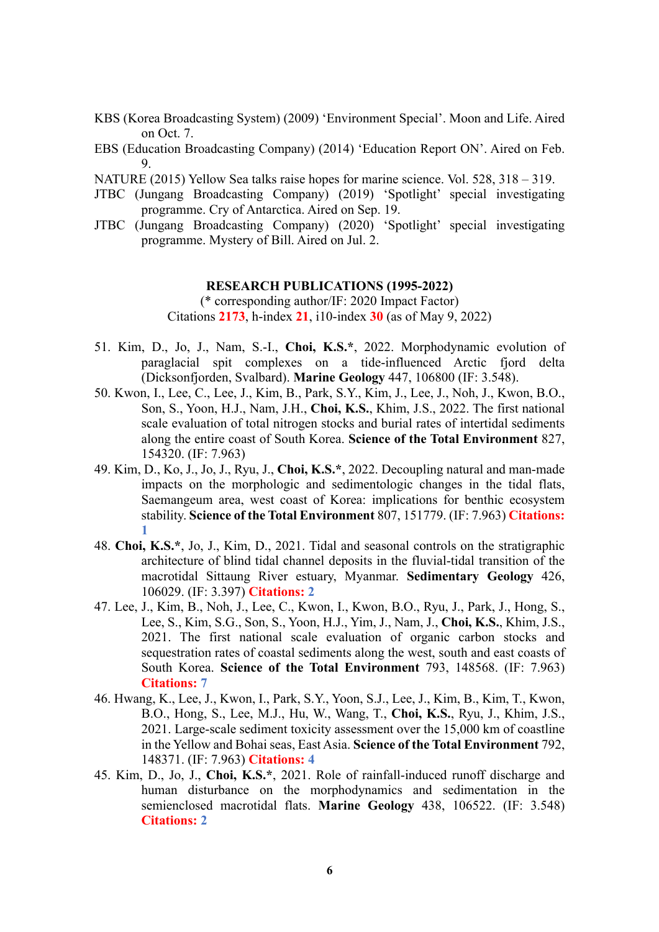- KBS (Korea Broadcasting System) (2009) 'Environment Special'. Moon and Life. Aired on Oct. 7.
- EBS (Education Broadcasting Company) (2014) 'Education Report ON'. Aired on Feb. 9.
- NATURE (2015) Yellow Sea talks raise hopes for marine science. Vol. 528, 318 319.
- JTBC (Jungang Broadcasting Company) (2019) 'Spotlight' special investigating programme. Cry of Antarctica. Aired on Sep. 19.
- JTBC (Jungang Broadcasting Company) (2020) 'Spotlight' special investigating programme. Mystery of Bill. Aired on Jul. 2.

## **RESEARCH PUBLICATIONS (1995-2022)**

(\* corresponding author/IF: 2020 Impact Factor) Citations **2173**, h-index **21**, i10-index **30** (as of May 9, 2022)

- 51. Kim, D., Jo, J., Nam, S.-I., **Choi, K.S.\***, 2022. Morphodynamic evolution of paraglacial spit complexes on a tide-influenced Arctic fjord delta (Dicksonfjorden, Svalbard). **Marine Geology** 447, 106800 (IF: 3.548).
- 50. Kwon, I., Lee, C., Lee, J., Kim, B., Park, S.Y., Kim, J., Lee, J., Noh, J., Kwon, B.O., Son, S., Yoon, H.J., Nam, J.H., **Choi, K.S.**, Khim, J.S., 2022. The first national scale evaluation of total nitrogen stocks and burial rates of intertidal sediments along the entire coast of South Korea. **Science of the Total Environment** 827, 154320. (IF: 7.963)
- 49. Kim, D., Ko, J., Jo, J., Ryu, J., **Choi, K.S.\***, 2022. Decoupling natural and man-made impacts on the morphologic and sedimentologic changes in the tidal flats, Saemangeum area, west coast of Korea: implications for benthic ecosystem stability. **Science of the Total Environment** 807, 151779. (IF: 7.963) **Citations: 1**
- 48. **Choi, K.S.\***, Jo, J., Kim, D., 2021. Tidal and seasonal controls on the stratigraphic architecture of blind tidal channel deposits in the fluvial-tidal transition of the macrotidal Sittaung River estuary, Myanmar. **Sedimentary Geology** 426, 106029. (IF: 3.397) **Citations: 2**
- 47. Lee, J., Kim, B., Noh, J., Lee, C., Kwon, I., Kwon, B.O., Ryu, J., Park, J., Hong, S., Lee, S., Kim, S.G., Son, S., Yoon, H.J., Yim, J., Nam, J., **Choi, K.S.**, Khim, J.S., 2021. The first national scale evaluation of organic carbon stocks and sequestration rates of coastal sediments along the west, south and east coasts of South Korea. **Science of the Total Environment** 793, 148568. (IF: 7.963) **Citations: 7**
- 46. Hwang, K., Lee, J., Kwon, I., Park, S.Y., Yoon, S.J., Lee, J., Kim, B., Kim, T., Kwon, B.O., Hong, S., Lee, M.J., Hu, W., Wang, T., **Choi, K.S.**, Ryu, J., Khim, J.S., 2021. Large-scale sediment toxicity assessment over the 15,000 km of coastline in the Yellow and Bohai seas, East Asia. **Science of the Total Environment** 792, 148371. (IF: 7.963) **Citations: 4**
- 45. Kim, D., Jo, J., **Choi, K.S.\***, 2021. Role of rainfall-induced runoff discharge and human disturbance on the morphodynamics and sedimentation in the semienclosed macrotidal flats. **Marine Geology** 438, 106522. (IF: 3.548) **Citations: 2**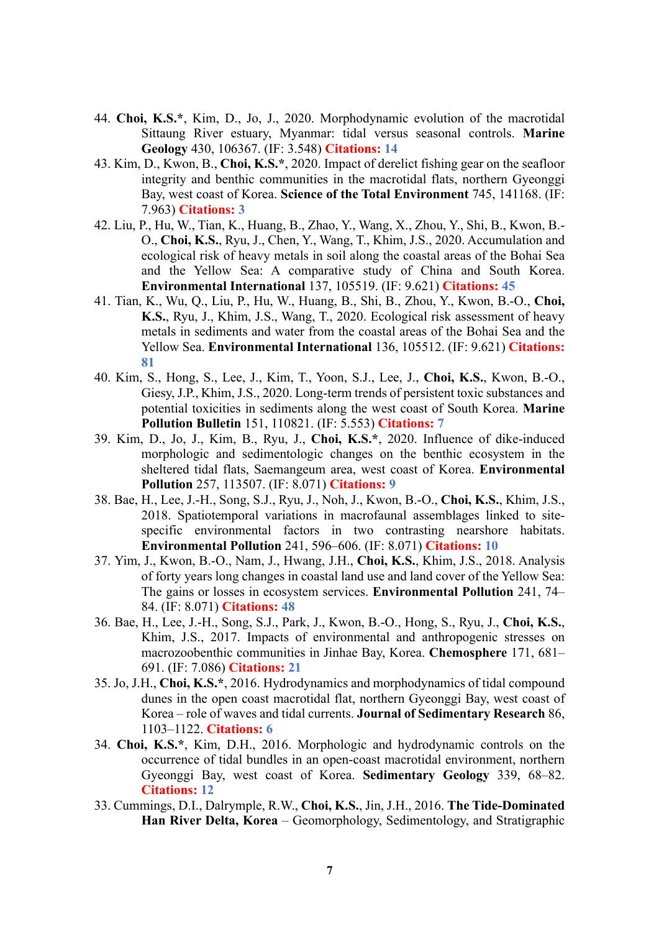- 44. **Choi, K.S.\***, Kim, D., Jo, J., 2020. Morphodynamic evolution of the macrotidal Sittaung River estuary, Myanmar: tidal versus seasonal controls. **Marine Geology** 430, 106367. (IF: 3.548) **Citations: 14**
- 43. Kim, D., Kwon, B., **Choi, K.S.\***, 2020. Impact of derelict fishing gear on the seafloor integrity and benthic communities in the macrotidal flats, northern Gyeonggi Bay, west coast of Korea. **Science of the Total Environment** 745, 141168. (IF: 7.963) **Citations: 3**
- 42. Liu, P., Hu, W., Tian, K., Huang, B., Zhao, Y., Wang, X., Zhou, Y., Shi, B., Kwon, B.- O., **Choi, K.S.**, Ryu, J., Chen, Y., Wang, T., Khim, J.S., 2020. Accumulation and ecological risk of heavy metals in soil along the coastal areas of the Bohai Sea and the Yellow Sea: A comparative study of China and South Korea. **Environmental International** 137, 105519. (IF: 9.621) **Citations: 45**
- 41. Tian, K., Wu, Q., Liu, P., Hu, W., Huang, B., Shi, B., Zhou, Y., Kwon, B.-O., **Choi, K.S.**, Ryu, J., Khim, J.S., Wang, T., 2020. Ecological risk assessment of heavy metals in sediments and water from the coastal areas of the Bohai Sea and the Yellow Sea. **Environmental International** 136, 105512. (IF: 9.621) **Citations: 81**
- 40. Kim, S., Hong, S., Lee, J., Kim, T., Yoon, S.J., Lee, J., **Choi, K.S.**, Kwon, B.-O., Giesy, J.P., Khim, J.S., 2020. Long-term trends of persistent toxic substances and potential toxicities in sediments along the west coast of South Korea. **Marine Pollution Bulletin** 151, 110821. (IF: 5.553) **Citations: 7**
- 39. Kim, D., Jo, J., Kim, B., Ryu, J., **Choi, K.S.\***, 2020. Influence of dike-induced morphologic and sedimentologic changes on the benthic ecosystem in the sheltered tidal flats, Saemangeum area, west coast of Korea. **Environmental Pollution** 257, 113507. (IF: 8.071) **Citations: 9**
- 38. Bae, H., Lee, J.-H., Song, S.J., Ryu, J., Noh, J., Kwon, B.-O., **Choi, K.S.**, Khim, J.S., 2018. Spatiotemporal variations in macrofaunal assemblages linked to sitespecific environmental factors in two contrasting nearshore habitats. **Environmental Pollution** 241, 596–606. (IF: 8.071) **Citations: 10**
- 37. Yim, J., Kwon, B.-O., Nam, J., Hwang, J.H., **Choi, K.S.**, Khim, J.S., 2018. Analysis of forty years long changes in coastal land use and land cover of the Yellow Sea: The gains or losses in ecosystem services. **Environmental Pollution** 241, 74– 84. (IF: 8.071) **Citations: 48**
- 36. Bae, H., Lee, J.-H., Song, S.J., Park, J., Kwon, B.-O., Hong, S., Ryu, J., **Choi, K.S.**, Khim, J.S., 2017. Impacts of environmental and anthropogenic stresses on macrozoobenthic communities in Jinhae Bay, Korea. **Chemosphere** 171, 681– 691. (IF: 7.086) **Citations: 21**
- 35. Jo, J.H., **Choi, K.S.\***, 2016. Hydrodynamics and morphodynamics of tidal compound dunes in the open coast macrotidal flat, northern Gyeonggi Bay, west coast of Korea – role of waves and tidal currents. **Journal of Sedimentary Research** 86, 1103–1122. **Citations: 6**
- 34. **Choi, K.S.\***, Kim, D.H., 2016. Morphologic and hydrodynamic controls on the occurrence of tidal bundles in an open-coast macrotidal environment, northern Gyeonggi Bay, west coast of Korea. **Sedimentary Geology** 339, 68–82. **Citations: 12**
- 33. Cummings, D.I., Dalrymple, R.W., **Choi, K.S.**, Jin, J.H., 2016. **The Tide-Dominated Han River Delta, Korea** – Geomorphology, Sedimentology, and Stratigraphic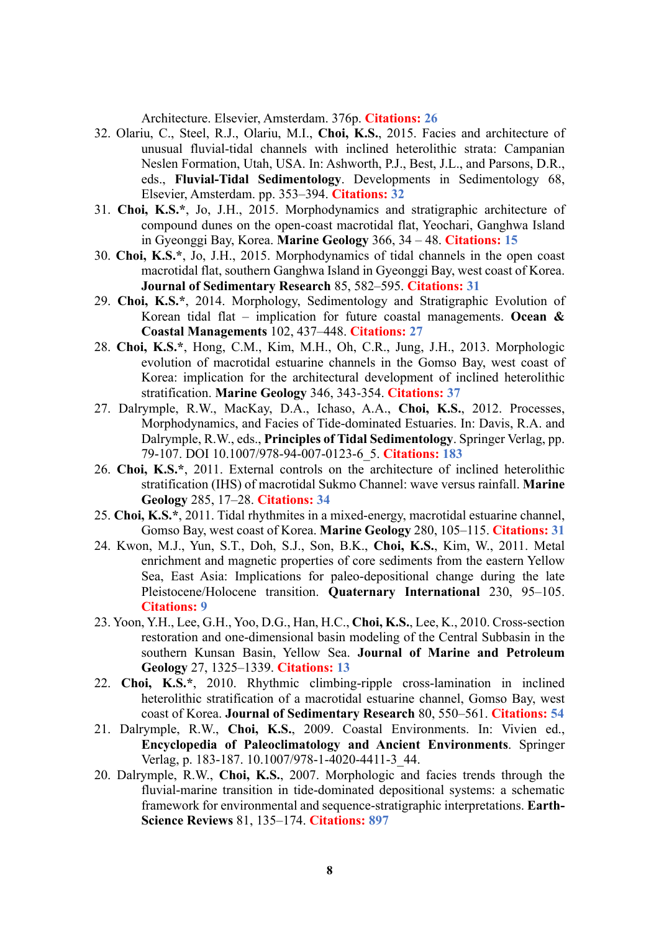Architecture. Elsevier, Amsterdam. 376p. **Citations: 26**

- 32. Olariu, C., Steel, R.J., Olariu, M.I., **Choi, K.S.**, 2015. Facies and architecture of unusual fluvial-tidal channels with inclined heterolithic strata: Campanian Neslen Formation, Utah, USA. In: Ashworth, P.J., Best, J.L., and Parsons, D.R., eds., **Fluvial-Tidal Sedimentology**. Developments in Sedimentology 68, Elsevier, Amsterdam. pp. 353–394. **Citations: 32**
- 31. **Choi, K.S.\***, Jo, J.H., 2015. Morphodynamics and stratigraphic architecture of compound dunes on the open-coast macrotidal flat, Yeochari, Ganghwa Island in Gyeonggi Bay, Korea. **Marine Geology** 366, 34 – 48. **Citations: 15**
- 30. **Choi, K.S.\***, Jo, J.H., 2015. Morphodynamics of tidal channels in the open coast macrotidal flat, southern Ganghwa Island in Gyeonggi Bay, west coast of Korea. **Journal of Sedimentary Research** 85, 582–595. **Citations: 31**
- 29. **Choi, K.S.\***, 2014. Morphology, Sedimentology and Stratigraphic Evolution of Korean tidal flat – implication for future coastal managements. **Ocean & Coastal Managements** 102, 437–448. **Citations: 27**
- 28. **Choi, K.S.\***, Hong, C.M., Kim, M.H., Oh, C.R., Jung, J.H., 2013. Morphologic evolution of macrotidal estuarine channels in the Gomso Bay, west coast of Korea: implication for the architectural development of inclined heterolithic stratification. **Marine Geology** 346, 343-354. **Citations: 37**
- 27. Dalrymple, R.W., MacKay, D.A., Ichaso, A.A., **Choi, K.S.**, 2012. Processes, Morphodynamics, and Facies of Tide-dominated Estuaries. In: Davis, R.A. and Dalrymple, R.W., eds., **Principles of Tidal Sedimentology**. Springer Verlag, pp. 79-107. DOI 10.1007/978-94-007-0123-6\_5. **Citations: 183**
- 26. **Choi, K.S.\***, 2011. External controls on the architecture of inclined heterolithic stratification (IHS) of macrotidal Sukmo Channel: wave versus rainfall. **Marine Geology** 285, 17–28. **Citations: 34**
- 25. **Choi, K.S.\***, 2011. Tidal rhythmites in a mixed-energy, macrotidal estuarine channel, Gomso Bay, west coast of Korea. **Marine Geology** 280, 105–115. **Citations: 31**
- 24. Kwon, M.J., Yun, S.T., Doh, S.J., Son, B.K., **Choi, K.S.**, Kim, W., 2011. Metal enrichment and magnetic properties of core sediments from the eastern Yellow Sea, East Asia: Implications for paleo-depositional change during the late Pleistocene/Holocene transition. **Quaternary International** 230, 95–105. **Citations: 9**
- 23. Yoon, Y.H., Lee, G.H., Yoo, D.G., Han, H.C., **Choi, K.S.**, Lee, K., 2010. Cross-section restoration and one-dimensional basin modeling of the Central Subbasin in the southern Kunsan Basin, Yellow Sea. **Journal of Marine and Petroleum Geology** 27, 1325–1339. **Citations: 13**
- 22. **Choi, K.S.\***, 2010. Rhythmic climbing-ripple cross-lamination in inclined heterolithic stratification of a macrotidal estuarine channel, Gomso Bay, west coast of Korea. **Journal of Sedimentary Research** 80, 550–561. **Citations: 54**
- 21. Dalrymple, R.W., **Choi, K.S.**, 2009. Coastal Environments. In: Vivien ed., **Encyclopedia of Paleoclimatology and Ancient Environments**. Springer Verlag, p. 183-187. 10.1007/978-1-4020-4411-3\_44.
- 20. Dalrymple, R.W., **Choi, K.S.**, 2007. Morphologic and facies trends through the fluvial-marine transition in tide-dominated depositional systems: a schematic framework for environmental and sequence-stratigraphic interpretations. **Earth-Science Reviews** 81, 135–174. **Citations: 897**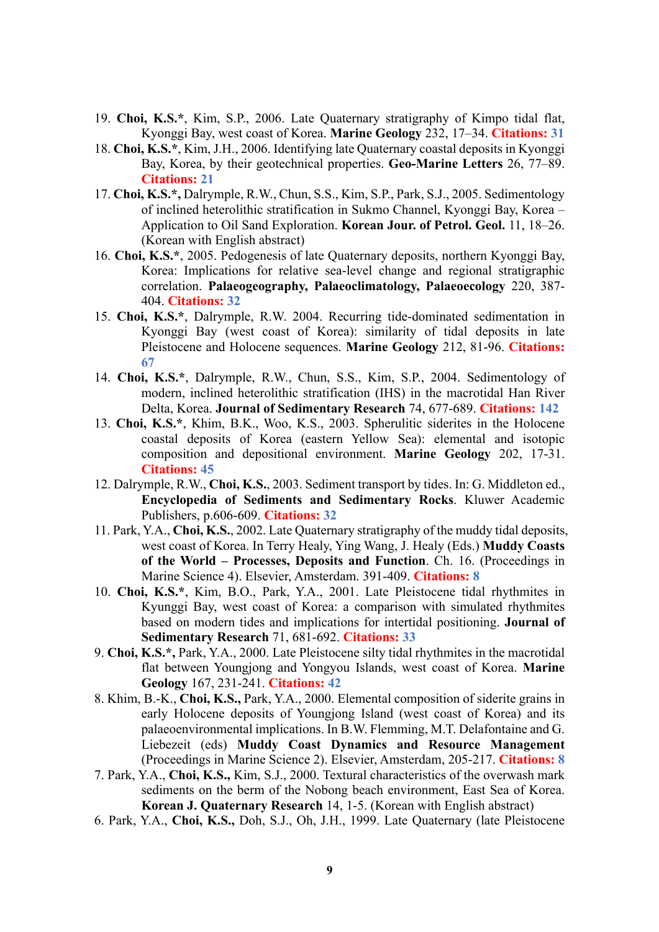- 19. **Choi, K.S.\***, Kim, S.P., 2006. Late Quaternary stratigraphy of Kimpo tidal flat, Kyonggi Bay, west coast of Korea. **Marine Geology** 232, 17–34. **Citations: 31**
- 18. **Choi, K.S.\***, Kim, J.H., 2006. Identifying late Quaternary coastal deposits in Kyonggi Bay, Korea, by their geotechnical properties. **Geo-Marine Letters** 26, 77–89. **Citations: 21**
- 17. **Choi, K.S.\*,** Dalrymple, R.W., Chun, S.S., Kim, S.P., Park, S.J., 2005. Sedimentology of inclined heterolithic stratification in Sukmo Channel, Kyonggi Bay, Korea – Application to Oil Sand Exploration. **Korean Jour. of Petrol. Geol.** 11, 18–26. (Korean with English abstract)
- 16. **Choi, K.S.\***, 2005. Pedogenesis of late Quaternary deposits, northern Kyonggi Bay, Korea: Implications for relative sea-level change and regional stratigraphic correlation. **Palaeogeography, Palaeoclimatology, Palaeoecology** 220, 387- 404. **Citations: 32**
- 15. **Choi, K.S.\***, Dalrymple, R.W. 2004. Recurring tide-dominated sedimentation in Kyonggi Bay (west coast of Korea): similarity of tidal deposits in late Pleistocene and Holocene sequences. **Marine Geology** 212, 81-96. **Citations: 67**
- 14. **Choi, K.S.\***, Dalrymple, R.W., Chun, S.S., Kim, S.P., 2004. Sedimentology of modern, inclined heterolithic stratification (IHS) in the macrotidal Han River Delta, Korea. **Journal of Sedimentary Research** 74, 677-689. **Citations: 142**
- 13. **Choi, K.S.\***, Khim, B.K., Woo, K.S., 2003. Spherulitic siderites in the Holocene coastal deposits of Korea (eastern Yellow Sea): elemental and isotopic composition and depositional environment. **Marine Geology** 202, 17-31. **Citations: 45**
- 12. Dalrymple, R.W., **Choi, K.S.**, 2003. Sediment transport by tides. In: G. Middleton ed., **Encyclopedia of Sediments and Sedimentary Rocks**. Kluwer Academic Publishers, p.606-609. **Citations: 32**
- 11. Park, Y.A., **Choi, K.S.**, 2002. Late Quaternary stratigraphy of the muddy tidal deposits, west coast of Korea. In Terry Healy, Ying Wang, J. Healy (Eds.) **Muddy Coasts of the World – Processes, Deposits and Function**. Ch. 16. (Proceedings in Marine Science 4). Elsevier, Amsterdam. 391-409. **Citations: 8**
- 10. **Choi, K.S.\***, Kim, B.O., Park, Y.A., 2001. Late Pleistocene tidal rhythmites in Kyunggi Bay, west coast of Korea: a comparison with simulated rhythmites based on modern tides and implications for intertidal positioning. **Journal of Sedimentary Research** 71, 681-692. **Citations: 33**
- 9. **Choi, K.S.\*,** Park, Y.A., 2000. Late Pleistocene silty tidal rhythmites in the macrotidal flat between Youngjong and Yongyou Islands, west coast of Korea. **Marine Geology** 167, 231-241. **Citations: 42**
- 8. Khim, B.-K., **Choi, K.S.,** Park, Y.A., 2000. Elemental composition of siderite grains in early Holocene deposits of Youngjong Island (west coast of Korea) and its palaeoenvironmental implications. In B.W. Flemming, M.T. Delafontaine and G. Liebezeit (eds) **Muddy Coast Dynamics and Resource Management** (Proceedings in Marine Science 2). Elsevier, Amsterdam, 205-217. **Citations: 8**
- 7. Park, Y.A., **Choi, K.S.,** Kim, S.J., 2000. Textural characteristics of the overwash mark sediments on the berm of the Nobong beach environment, East Sea of Korea. **Korean J. Quaternary Research** 14, 1-5. (Korean with English abstract)
- 6. Park, Y.A., **Choi, K.S.,** Doh, S.J., Oh, J.H., 1999. Late Quaternary (late Pleistocene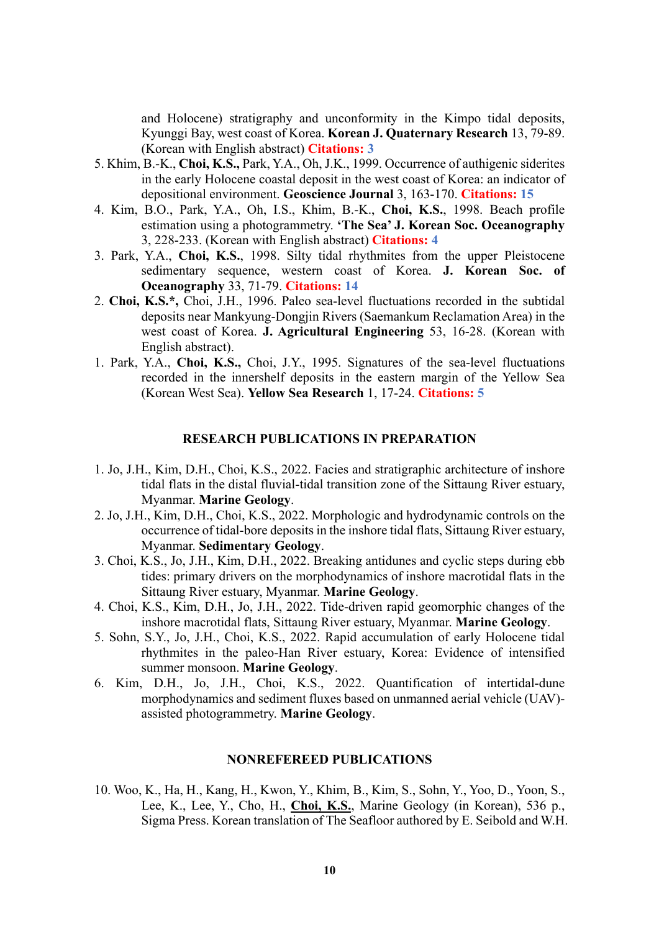and Holocene) stratigraphy and unconformity in the Kimpo tidal deposits, Kyunggi Bay, west coast of Korea. **Korean J. Quaternary Research** 13, 79-89. (Korean with English abstract) **Citations: 3**

- 5. Khim, B.-K., **Choi, K.S.,** Park, Y.A., Oh, J.K., 1999. Occurrence of authigenic siderites in the early Holocene coastal deposit in the west coast of Korea: an indicator of depositional environment. **Geoscience Journal** 3, 163-170. **Citations: 15**
- 4. Kim, B.O., Park, Y.A., Oh, I.S., Khim, B.-K., **Choi, K.S.**, 1998. Beach profile estimation using a photogrammetry. **'The Sea' J. Korean Soc. Oceanography** 3, 228-233. (Korean with English abstract) **Citations: 4**
- 3. Park, Y.A., **Choi, K.S.**, 1998. Silty tidal rhythmites from the upper Pleistocene sedimentary sequence, western coast of Korea. **J. Korean Soc. of Oceanography** 33, 71-79. **Citations: 14**
- 2. **Choi, K.S.\*,** Choi, J.H., 1996. Paleo sea-level fluctuations recorded in the subtidal deposits near Mankyung-Dongjin Rivers (Saemankum Reclamation Area) in the west coast of Korea. **J. Agricultural Engineering** 53, 16-28. (Korean with English abstract).
- 1. Park, Y.A., **Choi, K.S.,** Choi, J.Y., 1995. Signatures of the sea-level fluctuations recorded in the innershelf deposits in the eastern margin of the Yellow Sea (Korean West Sea). **Yellow Sea Research** 1, 17-24. **Citations: 5**

### **RESEARCH PUBLICATIONS IN PREPARATION**

- 1. Jo, J.H., Kim, D.H., Choi, K.S., 2022. Facies and stratigraphic architecture of inshore tidal flats in the distal fluvial-tidal transition zone of the Sittaung River estuary, Myanmar. **Marine Geology**.
- 2. Jo, J.H., Kim, D.H., Choi, K.S., 2022. Morphologic and hydrodynamic controls on the occurrence of tidal-bore deposits in the inshore tidal flats, Sittaung River estuary, Myanmar. **Sedimentary Geology**.
- 3. Choi, K.S., Jo, J.H., Kim, D.H., 2022. Breaking antidunes and cyclic steps during ebb tides: primary drivers on the morphodynamics of inshore macrotidal flats in the Sittaung River estuary, Myanmar. **Marine Geology**.
- 4. Choi, K.S., Kim, D.H., Jo, J.H., 2022. Tide-driven rapid geomorphic changes of the inshore macrotidal flats, Sittaung River estuary, Myanmar. **Marine Geology**.
- 5. Sohn, S.Y., Jo, J.H., Choi, K.S., 2022. Rapid accumulation of early Holocene tidal rhythmites in the paleo-Han River estuary, Korea: Evidence of intensified summer monsoon. **Marine Geology**.
- 6. Kim, D.H., Jo, J.H., Choi, K.S., 2022. Quantification of intertidal-dune morphodynamics and sediment fluxes based on unmanned aerial vehicle (UAV) assisted photogrammetry. **Marine Geology**.

## **NONREFEREED PUBLICATIONS**

10. Woo, K., Ha, H., Kang, H., Kwon, Y., Khim, B., Kim, S., Sohn, Y., Yoo, D., Yoon, S., Lee, K., Lee, Y., Cho, H., **Choi, K.S.**, Marine Geology (in Korean), 536 p., Sigma Press. Korean translation of The Seafloor authored by E. Seibold and W.H.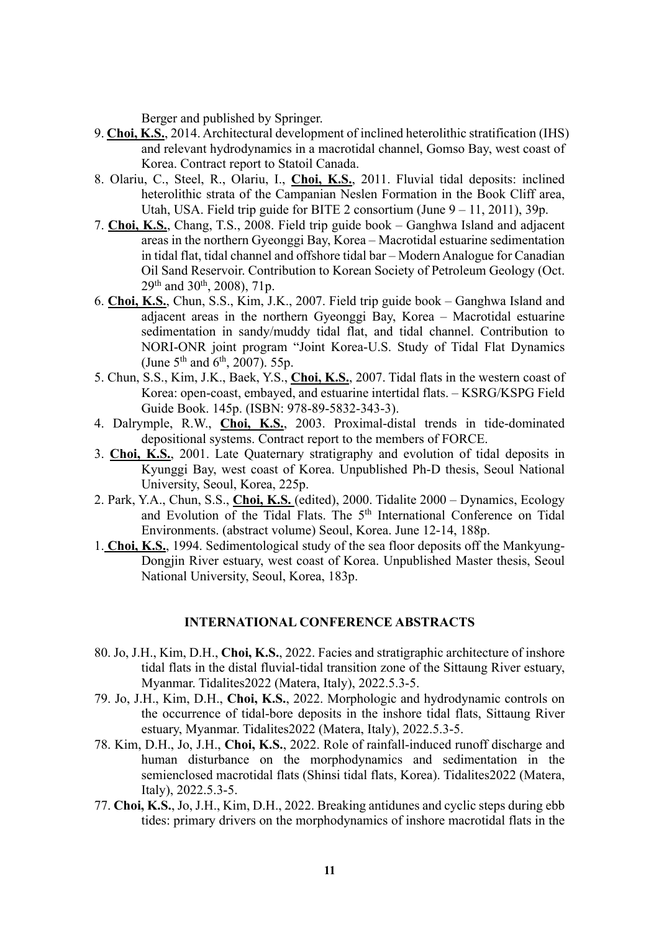Berger and published by Springer.

- 9. **Choi, K.S.**, 2014. Architectural development of inclined heterolithic stratification (IHS) and relevant hydrodynamics in a macrotidal channel, Gomso Bay, west coast of Korea. Contract report to Statoil Canada.
- 8. Olariu, C., Steel, R., Olariu, I., **Choi, K.S.**, 2011. Fluvial tidal deposits: inclined heterolithic strata of the Campanian Neslen Formation in the Book Cliff area, Utah, USA. Field trip guide for BITE 2 consortium (June 9 – 11, 2011), 39p.
- 7. **Choi, K.S.**, Chang, T.S., 2008. Field trip guide book Ganghwa Island and adjacent areas in the northern Gyeonggi Bay, Korea – Macrotidal estuarine sedimentation in tidal flat, tidal channel and offshore tidal bar – Modern Analogue for Canadian Oil Sand Reservoir. Contribution to Korean Society of Petroleum Geology (Oct.  $29<sup>th</sup>$  and  $30<sup>th</sup>$ ,  $2008$ ),  $71p$ .
- 6. **Choi, K.S.**, Chun, S.S., Kim, J.K., 2007. Field trip guide book Ganghwa Island and adjacent areas in the northern Gyeonggi Bay, Korea – Macrotidal estuarine sedimentation in sandy/muddy tidal flat, and tidal channel. Contribution to NORI-ONR joint program "Joint Korea-U.S. Study of Tidal Flat Dynamics (June  $5^{th}$  and  $6^{th}$ , 2007). 55p.
- 5. Chun, S.S., Kim, J.K., Baek, Y.S., **Choi, K.S.**, 2007. Tidal flats in the western coast of Korea: open-coast, embayed, and estuarine intertidal flats. – KSRG/KSPG Field Guide Book. 145p. (ISBN: 978-89-5832-343-3).
- 4. Dalrymple, R.W., **Choi, K.S.**, 2003. Proximal-distal trends in tide-dominated depositional systems. Contract report to the members of FORCE.
- 3. **Choi, K.S.**, 2001. Late Quaternary stratigraphy and evolution of tidal deposits in Kyunggi Bay, west coast of Korea. Unpublished Ph-D thesis, Seoul National University, Seoul, Korea, 225p.
- 2. Park, Y.A., Chun, S.S., **Choi, K.S.** (edited), 2000. Tidalite 2000 Dynamics, Ecology and Evolution of the Tidal Flats. The  $5<sup>th</sup>$  International Conference on Tidal Environments. (abstract volume) Seoul, Korea. June 12-14, 188p.
- 1. **Choi, K.S.**, 1994. Sedimentological study of the sea floor deposits off the Mankyung-Dongjin River estuary, west coast of Korea. Unpublished Master thesis, Seoul National University, Seoul, Korea, 183p.

### **INTERNATIONAL CONFERENCE ABSTRACTS**

- 80. Jo, J.H., Kim, D.H., **Choi, K.S.**, 2022. Facies and stratigraphic architecture of inshore tidal flats in the distal fluvial-tidal transition zone of the Sittaung River estuary, Myanmar. Tidalites2022 (Matera, Italy), 2022.5.3-5.
- 79. Jo, J.H., Kim, D.H., **Choi, K.S.**, 2022. Morphologic and hydrodynamic controls on the occurrence of tidal-bore deposits in the inshore tidal flats, Sittaung River estuary, Myanmar. Tidalites2022 (Matera, Italy), 2022.5.3-5.
- 78. Kim, D.H., Jo, J.H., **Choi, K.S.**, 2022. Role of rainfall-induced runoff discharge and human disturbance on the morphodynamics and sedimentation in the semienclosed macrotidal flats (Shinsi tidal flats, Korea). Tidalites2022 (Matera, Italy), 2022.5.3-5.
- 77. **Choi, K.S.**, Jo, J.H., Kim, D.H., 2022. Breaking antidunes and cyclic steps during ebb tides: primary drivers on the morphodynamics of inshore macrotidal flats in the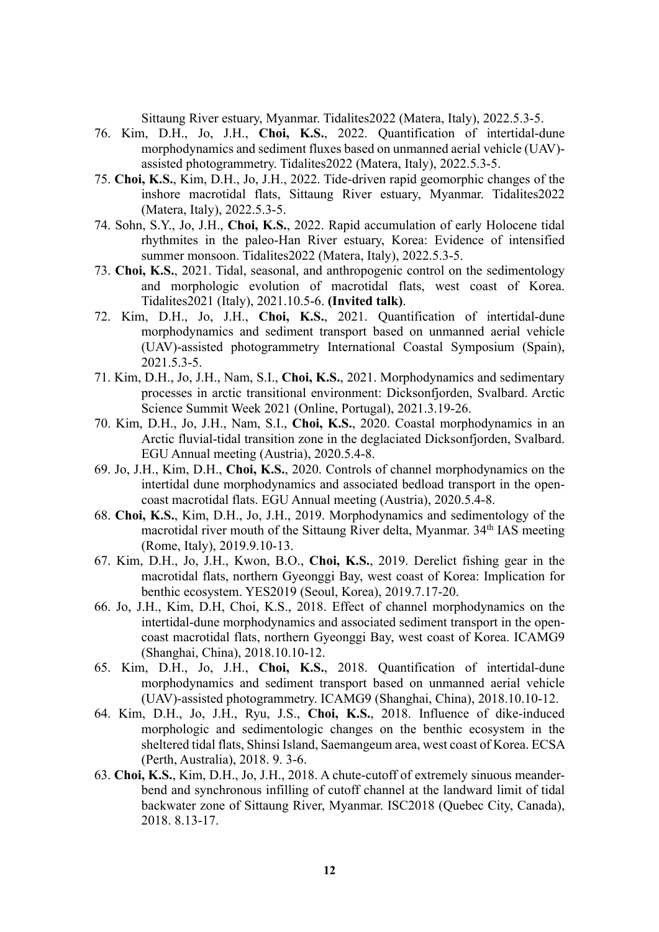Sittaung River estuary, Myanmar. Tidalites2022 (Matera, Italy), 2022.5.3-5.

- 76. Kim, D.H., Jo, J.H., **Choi, K.S.**, 2022. Quantification of intertidal-dune morphodynamics and sediment fluxes based on unmanned aerial vehicle (UAV) assisted photogrammetry. Tidalites2022 (Matera, Italy), 2022.5.3-5.
- 75. **Choi, K.S.**, Kim, D.H., Jo, J.H., 2022. Tide-driven rapid geomorphic changes of the inshore macrotidal flats, Sittaung River estuary, Myanmar. Tidalites2022 (Matera, Italy), 2022.5.3-5.
- 74. Sohn, S.Y., Jo, J.H., **Choi, K.S.**, 2022. Rapid accumulation of early Holocene tidal rhythmites in the paleo-Han River estuary, Korea: Evidence of intensified summer monsoon. Tidalites2022 (Matera, Italy), 2022.5.3-5.
- 73. **Choi, K.S.**, 2021. Tidal, seasonal, and anthropogenic control on the sedimentology and morphologic evolution of macrotidal flats, west coast of Korea. Tidalites2021 (Italy), 2021.10.5-6. **(Invited talk)**.
- 72. Kim, D.H., Jo, J.H., **Choi, K.S.**, 2021. Quantification of intertidal-dune morphodynamics and sediment transport based on unmanned aerial vehicle (UAV)-assisted photogrammetry International Coastal Symposium (Spain), 2021.5.3-5.
- 71. Kim, D.H., Jo, J.H., Nam, S.I., **Choi, K.S.**, 2021. Morphodynamics and sedimentary processes in arctic transitional environment: Dicksonfjorden, Svalbard. Arctic Science Summit Week 2021 (Online, Portugal), 2021.3.19-26.
- 70. Kim, D.H., Jo, J.H., Nam, S.I., **Choi, K.S.**, 2020. Coastal morphodynamics in an Arctic fluvial-tidal transition zone in the deglaciated Dicksonfjorden, Svalbard. EGU Annual meeting (Austria), 2020.5.4-8.
- 69. Jo, J.H., Kim, D.H., **Choi, K.S.**, 2020. Controls of channel morphodynamics on the intertidal dune morphodynamics and associated bedload transport in the opencoast macrotidal flats. EGU Annual meeting (Austria), 2020.5.4-8.
- 68. **Choi, K.S.**, Kim, D.H., Jo, J.H., 2019. Morphodynamics and sedimentology of the macrotidal river mouth of the Sittaung River delta, Myanmar. 34<sup>th</sup> IAS meeting (Rome, Italy), 2019.9.10-13.
- 67. Kim, D.H., Jo, J.H., Kwon, B.O., **Choi, K.S.**, 2019. Derelict fishing gear in the macrotidal flats, northern Gyeonggi Bay, west coast of Korea: Implication for benthic ecosystem. YES2019 (Seoul, Korea), 2019.7.17-20.
- 66. Jo, J.H., Kim, D.H, Choi, K.S., 2018. Effect of channel morphodynamics on the intertidal-dune morphodynamics and associated sediment transport in the opencoast macrotidal flats, northern Gyeonggi Bay, west coast of Korea. ICAMG9 (Shanghai, China), 2018.10.10-12.
- 65. Kim, D.H., Jo, J.H., **Choi, K.S.**, 2018. Quantification of intertidal-dune morphodynamics and sediment transport based on unmanned aerial vehicle (UAV)-assisted photogrammetry. ICAMG9 (Shanghai, China), 2018.10.10-12.
- 64. Kim, D.H., Jo, J.H., Ryu, J.S., **Choi, K.S.**, 2018. Influence of dike-induced morphologic and sedimentologic changes on the benthic ecosystem in the sheltered tidal flats, Shinsi Island, Saemangeum area, west coast of Korea. ECSA (Perth, Australia), 2018. 9. 3-6.
- 63. **Choi, K.S.**, Kim, D.H., Jo, J.H., 2018. A chute-cutoff of extremely sinuous meanderbend and synchronous infilling of cutoff channel at the landward limit of tidal backwater zone of Sittaung River, Myanmar. ISC2018 (Quebec City, Canada), 2018. 8.13-17.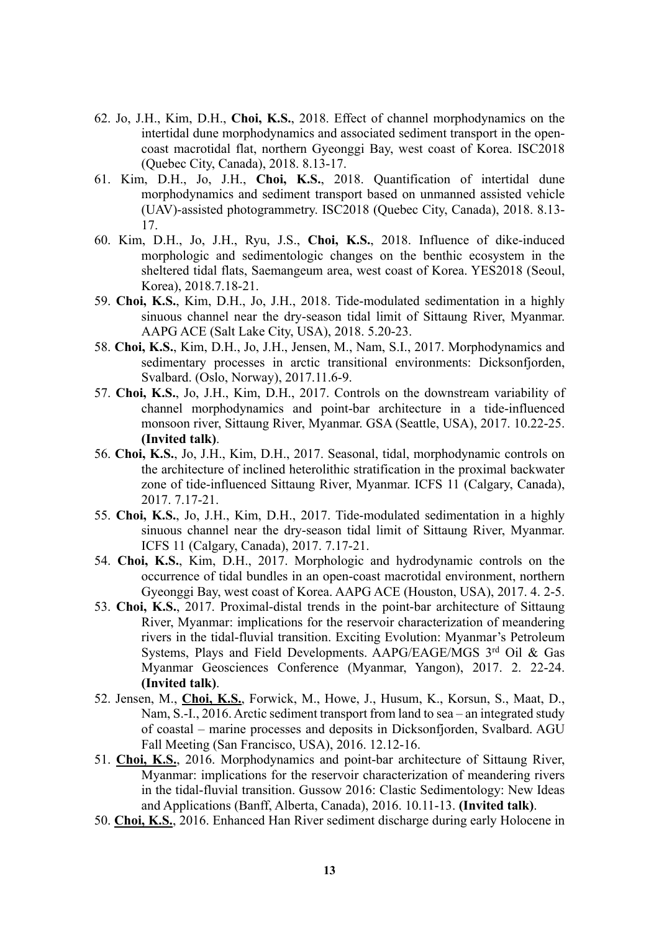- 62. Jo, J.H., Kim, D.H., **Choi, K.S.**, 2018. Effect of channel morphodynamics on the intertidal dune morphodynamics and associated sediment transport in the opencoast macrotidal flat, northern Gyeonggi Bay, west coast of Korea. ISC2018 (Quebec City, Canada), 2018. 8.13-17.
- 61. Kim, D.H., Jo, J.H., **Choi, K.S.**, 2018. Quantification of intertidal dune morphodynamics and sediment transport based on unmanned assisted vehicle (UAV)-assisted photogrammetry. ISC2018 (Quebec City, Canada), 2018. 8.13- 17.
- 60. Kim, D.H., Jo, J.H., Ryu, J.S., **Choi, K.S.**, 2018. Influence of dike-induced morphologic and sedimentologic changes on the benthic ecosystem in the sheltered tidal flats, Saemangeum area, west coast of Korea. YES2018 (Seoul, Korea), 2018.7.18-21.
- 59. **Choi, K.S.**, Kim, D.H., Jo, J.H., 2018. Tide-modulated sedimentation in a highly sinuous channel near the dry-season tidal limit of Sittaung River, Myanmar. AAPG ACE (Salt Lake City, USA), 2018. 5.20-23.
- 58. **Choi, K.S.**, Kim, D.H., Jo, J.H., Jensen, M., Nam, S.I., 2017. Morphodynamics and sedimentary processes in arctic transitional environments: Dicksonfjorden, Svalbard. (Oslo, Norway), 2017.11.6-9.
- 57. **Choi, K.S.**, Jo, J.H., Kim, D.H., 2017. Controls on the downstream variability of channel morphodynamics and point-bar architecture in a tide-influenced monsoon river, Sittaung River, Myanmar. GSA (Seattle, USA), 2017. 10.22-25. **(Invited talk)**.
- 56. **Choi, K.S.**, Jo, J.H., Kim, D.H., 2017. Seasonal, tidal, morphodynamic controls on the architecture of inclined heterolithic stratification in the proximal backwater zone of tide-influenced Sittaung River, Myanmar. ICFS 11 (Calgary, Canada), 2017. 7.17-21.
- 55. **Choi, K.S.**, Jo, J.H., Kim, D.H., 2017. Tide-modulated sedimentation in a highly sinuous channel near the dry-season tidal limit of Sittaung River, Myanmar. ICFS 11 (Calgary, Canada), 2017. 7.17-21.
- 54. **Choi, K.S.**, Kim, D.H., 2017. Morphologic and hydrodynamic controls on the occurrence of tidal bundles in an open-coast macrotidal environment, northern Gyeonggi Bay, west coast of Korea. AAPG ACE (Houston, USA), 2017. 4. 2-5.
- 53. **Choi, K.S.**, 2017. Proximal-distal trends in the point-bar architecture of Sittaung River, Myanmar: implications for the reservoir characterization of meandering rivers in the tidal-fluvial transition. Exciting Evolution: Myanmar's Petroleum Systems, Plays and Field Developments. AAPG/EAGE/MGS 3rd Oil & Gas Myanmar Geosciences Conference (Myanmar, Yangon), 2017. 2. 22-24. **(Invited talk)**.
- 52. Jensen, M., **Choi, K.S.**, Forwick, M., Howe, J., Husum, K., Korsun, S., Maat, D., Nam, S.-I., 2016. Arctic sediment transport from land to sea – an integrated study of coastal – marine processes and deposits in Dicksonfjorden, Svalbard. AGU Fall Meeting (San Francisco, USA), 2016. 12.12-16.
- 51. **Choi, K.S.**, 2016. Morphodynamics and point-bar architecture of Sittaung River, Myanmar: implications for the reservoir characterization of meandering rivers in the tidal-fluvial transition. Gussow 2016: Clastic Sedimentology: New Ideas and Applications (Banff, Alberta, Canada), 2016. 10.11-13. **(Invited talk)**.
- 50. **Choi, K.S.**, 2016. Enhanced Han River sediment discharge during early Holocene in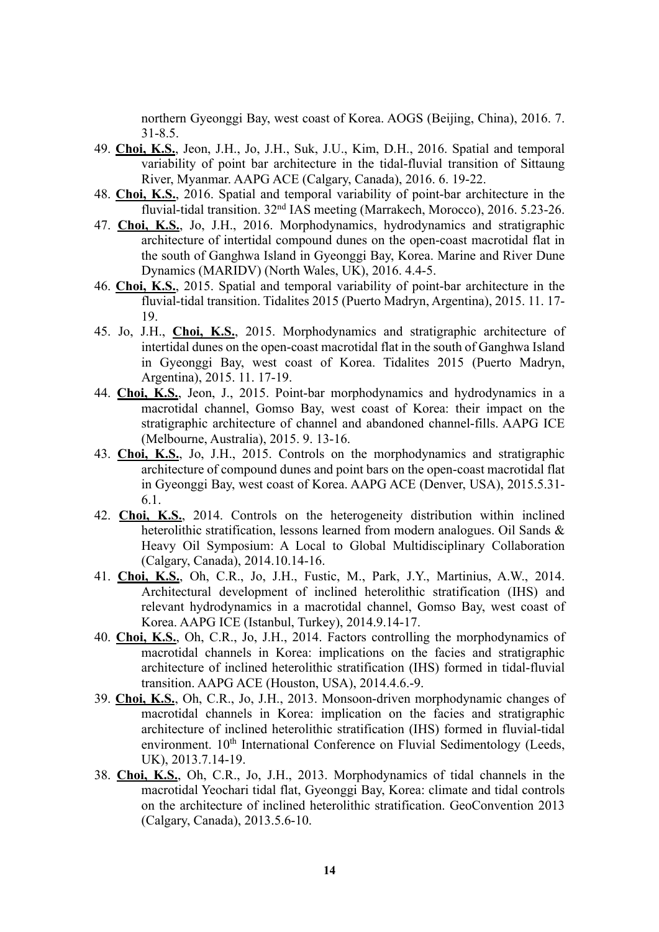northern Gyeonggi Bay, west coast of Korea. AOGS (Beijing, China), 2016. 7. 31-8.5.

- 49. **Choi, K.S.**, Jeon, J.H., Jo, J.H., Suk, J.U., Kim, D.H., 2016. Spatial and temporal variability of point bar architecture in the tidal-fluvial transition of Sittaung River, Myanmar. AAPG ACE (Calgary, Canada), 2016. 6. 19-22.
- 48. **Choi, K.S.**, 2016. Spatial and temporal variability of point-bar architecture in the fluvial-tidal transition. 32nd IAS meeting (Marrakech, Morocco), 2016. 5.23-26.
- 47. **Choi, K.S.**, Jo, J.H., 2016. Morphodynamics, hydrodynamics and stratigraphic architecture of intertidal compound dunes on the open-coast macrotidal flat in the south of Ganghwa Island in Gyeonggi Bay, Korea. Marine and River Dune Dynamics (MARIDV) (North Wales, UK), 2016. 4.4-5.
- 46. **Choi, K.S.**, 2015. Spatial and temporal variability of point-bar architecture in the fluvial-tidal transition. Tidalites 2015 (Puerto Madryn, Argentina), 2015. 11. 17- 19.
- 45. Jo, J.H., **Choi, K.S.**, 2015. Morphodynamics and stratigraphic architecture of intertidal dunes on the open-coast macrotidal flat in the south of Ganghwa Island in Gyeonggi Bay, west coast of Korea. Tidalites 2015 (Puerto Madryn, Argentina), 2015. 11. 17-19.
- 44. **Choi, K.S.**, Jeon, J., 2015. Point-bar morphodynamics and hydrodynamics in a macrotidal channel, Gomso Bay, west coast of Korea: their impact on the stratigraphic architecture of channel and abandoned channel-fills. AAPG ICE (Melbourne, Australia), 2015. 9. 13-16.
- 43. **Choi, K.S.**, Jo, J.H., 2015. Controls on the morphodynamics and stratigraphic architecture of compound dunes and point bars on the open-coast macrotidal flat in Gyeonggi Bay, west coast of Korea. AAPG ACE (Denver, USA), 2015.5.31- 6.1.
- 42. **Choi, K.S.**, 2014. Controls on the heterogeneity distribution within inclined heterolithic stratification, lessons learned from modern analogues. Oil Sands & Heavy Oil Symposium: A Local to Global Multidisciplinary Collaboration (Calgary, Canada), 2014.10.14-16.
- 41. **Choi, K.S.**, Oh, C.R., Jo, J.H., Fustic, M., Park, J.Y., Martinius, A.W., 2014. Architectural development of inclined heterolithic stratification (IHS) and relevant hydrodynamics in a macrotidal channel, Gomso Bay, west coast of Korea. AAPG ICE (Istanbul, Turkey), 2014.9.14-17.
- 40. **Choi, K.S.**, Oh, C.R., Jo, J.H., 2014. Factors controlling the morphodynamics of macrotidal channels in Korea: implications on the facies and stratigraphic architecture of inclined heterolithic stratification (IHS) formed in tidal-fluvial transition. AAPG ACE (Houston, USA), 2014.4.6.-9.
- 39. **Choi, K.S.**, Oh, C.R., Jo, J.H., 2013. Monsoon-driven morphodynamic changes of macrotidal channels in Korea: implication on the facies and stratigraphic architecture of inclined heterolithic stratification (IHS) formed in fluvial-tidal environment. 10<sup>th</sup> International Conference on Fluvial Sedimentology (Leeds, UK), 2013.7.14-19.
- 38. **Choi, K.S.**, Oh, C.R., Jo, J.H., 2013. Morphodynamics of tidal channels in the macrotidal Yeochari tidal flat, Gyeonggi Bay, Korea: climate and tidal controls on the architecture of inclined heterolithic stratification. GeoConvention 2013 (Calgary, Canada), 2013.5.6-10.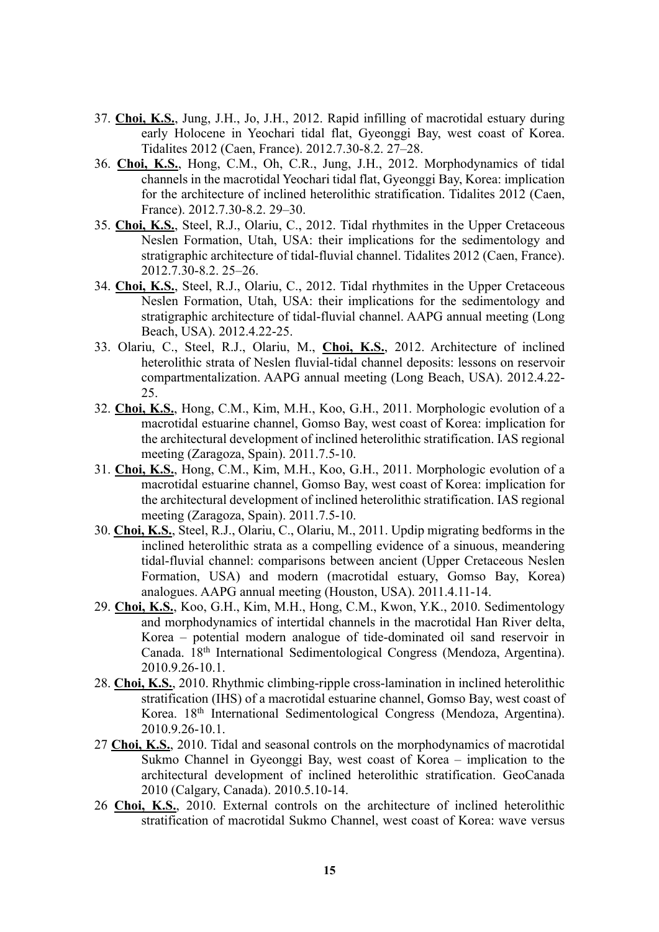- 37. **Choi, K.S.**, Jung, J.H., Jo, J.H., 2012. Rapid infilling of macrotidal estuary during early Holocene in Yeochari tidal flat, Gyeonggi Bay, west coast of Korea. Tidalites 2012 (Caen, France). 2012.7.30-8.2. 27–28.
- 36. **Choi, K.S.**, Hong, C.M., Oh, C.R., Jung, J.H., 2012. Morphodynamics of tidal channels in the macrotidal Yeochari tidal flat, Gyeonggi Bay, Korea: implication for the architecture of inclined heterolithic stratification. Tidalites 2012 (Caen, France). 2012.7.30-8.2. 29–30.
- 35. **Choi, K.S.**, Steel, R.J., Olariu, C., 2012. Tidal rhythmites in the Upper Cretaceous Neslen Formation, Utah, USA: their implications for the sedimentology and stratigraphic architecture of tidal-fluvial channel. Tidalites 2012 (Caen, France). 2012.7.30-8.2. 25–26.
- 34. **Choi, K.S.**, Steel, R.J., Olariu, C., 2012. Tidal rhythmites in the Upper Cretaceous Neslen Formation, Utah, USA: their implications for the sedimentology and stratigraphic architecture of tidal-fluvial channel. AAPG annual meeting (Long Beach, USA). 2012.4.22-25.
- 33. Olariu, C., Steel, R.J., Olariu, M., **Choi, K.S.**, 2012. Architecture of inclined heterolithic strata of Neslen fluvial-tidal channel deposits: lessons on reservoir compartmentalization. AAPG annual meeting (Long Beach, USA). 2012.4.22- 25.
- 32. **Choi, K.S.**, Hong, C.M., Kim, M.H., Koo, G.H., 2011. Morphologic evolution of a macrotidal estuarine channel, Gomso Bay, west coast of Korea: implication for the architectural development of inclined heterolithic stratification. IAS regional meeting (Zaragoza, Spain). 2011.7.5-10.
- 31. **Choi, K.S.**, Hong, C.M., Kim, M.H., Koo, G.H., 2011. Morphologic evolution of a macrotidal estuarine channel, Gomso Bay, west coast of Korea: implication for the architectural development of inclined heterolithic stratification. IAS regional meeting (Zaragoza, Spain). 2011.7.5-10.
- 30. **Choi, K.S.**, Steel, R.J., Olariu, C., Olariu, M., 2011. Updip migrating bedforms in the inclined heterolithic strata as a compelling evidence of a sinuous, meandering tidal-fluvial channel: comparisons between ancient (Upper Cretaceous Neslen Formation, USA) and modern (macrotidal estuary, Gomso Bay, Korea) analogues. AAPG annual meeting (Houston, USA). 2011.4.11-14.
- 29. **Choi, K.S.**, Koo, G.H., Kim, M.H., Hong, C.M., Kwon, Y.K., 2010. Sedimentology and morphodynamics of intertidal channels in the macrotidal Han River delta, Korea – potential modern analogue of tide-dominated oil sand reservoir in Canada. 18th International Sedimentological Congress (Mendoza, Argentina). 2010.9.26-10.1.
- 28. **Choi, K.S.**, 2010. Rhythmic climbing-ripple cross-lamination in inclined heterolithic stratification (IHS) of a macrotidal estuarine channel, Gomso Bay, west coast of Korea. 18th International Sedimentological Congress (Mendoza, Argentina). 2010.9.26-10.1.
- 27 **Choi, K.S.**, 2010. Tidal and seasonal controls on the morphodynamics of macrotidal Sukmo Channel in Gyeonggi Bay, west coast of Korea – implication to the architectural development of inclined heterolithic stratification. GeoCanada 2010 (Calgary, Canada). 2010.5.10-14.
- 26 **Choi, K.S.**, 2010. External controls on the architecture of inclined heterolithic stratification of macrotidal Sukmo Channel, west coast of Korea: wave versus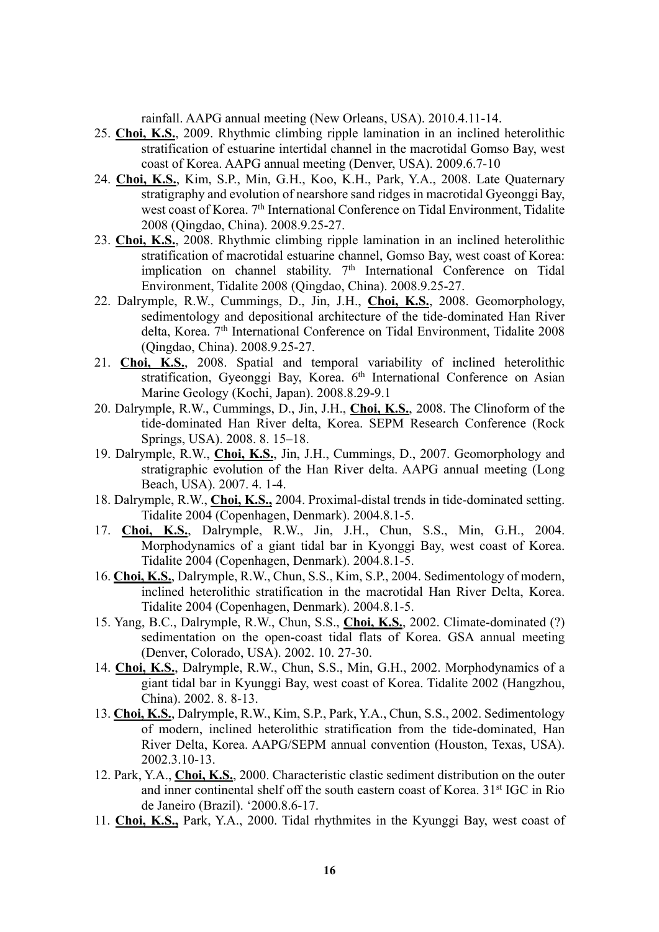rainfall. AAPG annual meeting (New Orleans, USA). 2010.4.11-14.

- 25. **Choi, K.S.**, 2009. Rhythmic climbing ripple lamination in an inclined heterolithic stratification of estuarine intertidal channel in the macrotidal Gomso Bay, west coast of Korea. AAPG annual meeting (Denver, USA). 2009.6.7-10
- 24. **Choi, K.S.**, Kim, S.P., Min, G.H., Koo, K.H., Park, Y.A., 2008. Late Quaternary stratigraphy and evolution of nearshore sand ridges in macrotidal Gyeonggi Bay, west coast of Korea. 7<sup>th</sup> International Conference on Tidal Environment, Tidalite 2008 (Qingdao, China). 2008.9.25-27.
- 23. **Choi, K.S.**, 2008. Rhythmic climbing ripple lamination in an inclined heterolithic stratification of macrotidal estuarine channel, Gomso Bay, west coast of Korea: implication on channel stability. 7<sup>th</sup> International Conference on Tidal Environment, Tidalite 2008 (Qingdao, China). 2008.9.25-27.
- 22. Dalrymple, R.W., Cummings, D., Jin, J.H., **Choi, K.S.**, 2008. Geomorphology, sedimentology and depositional architecture of the tide-dominated Han River delta, Korea. 7<sup>th</sup> International Conference on Tidal Environment, Tidalite 2008 (Qingdao, China). 2008.9.25-27.
- 21. **Choi, K.S.**, 2008. Spatial and temporal variability of inclined heterolithic stratification, Gyeonggi Bay, Korea. 6<sup>th</sup> International Conference on Asian Marine Geology (Kochi, Japan). 2008.8.29-9.1
- 20. Dalrymple, R.W., Cummings, D., Jin, J.H., **Choi, K.S.**, 2008. The Clinoform of the tide-dominated Han River delta, Korea. SEPM Research Conference (Rock Springs, USA). 2008. 8. 15–18.
- 19. Dalrymple, R.W., **Choi, K.S.**, Jin, J.H., Cummings, D., 2007. Geomorphology and stratigraphic evolution of the Han River delta. AAPG annual meeting (Long Beach, USA). 2007. 4. 1-4.
- 18. Dalrymple, R.W., **Choi, K.S.,** 2004. Proximal-distal trends in tide-dominated setting. Tidalite 2004 (Copenhagen, Denmark). 2004.8.1-5.
- 17. **Choi, K.S.**, Dalrymple, R.W., Jin, J.H., Chun, S.S., Min, G.H., 2004. Morphodynamics of a giant tidal bar in Kyonggi Bay, west coast of Korea. Tidalite 2004 (Copenhagen, Denmark). 2004.8.1-5.
- 16. **Choi, K.S.**, Dalrymple, R.W., Chun, S.S., Kim, S.P., 2004. Sedimentology of modern, inclined heterolithic stratification in the macrotidal Han River Delta, Korea. Tidalite 2004 (Copenhagen, Denmark). 2004.8.1-5.
- 15. Yang, B.C., Dalrymple, R.W., Chun, S.S., **Choi, K.S.**, 2002. Climate-dominated (?) sedimentation on the open-coast tidal flats of Korea. GSA annual meeting (Denver, Colorado, USA). 2002. 10. 27-30.
- 14. **Choi, K.S.**, Dalrymple, R.W., Chun, S.S., Min, G.H., 2002. Morphodynamics of a giant tidal bar in Kyunggi Bay, west coast of Korea. Tidalite 2002 (Hangzhou, China). 2002. 8. 8-13.
- 13. **Choi, K.S.**, Dalrymple, R.W., Kim, S.P., Park, Y.A., Chun, S.S., 2002. Sedimentology of modern, inclined heterolithic stratification from the tide-dominated, Han River Delta, Korea. AAPG/SEPM annual convention (Houston, Texas, USA). 2002.3.10-13.
- 12. Park, Y.A., **Choi, K.S.**, 2000. Characteristic clastic sediment distribution on the outer and inner continental shelf off the south eastern coast of Korea. 31st IGC in Rio de Janeiro (Brazil). '2000.8.6-17.
- 11. **Choi, K.S.,** Park, Y.A., 2000. Tidal rhythmites in the Kyunggi Bay, west coast of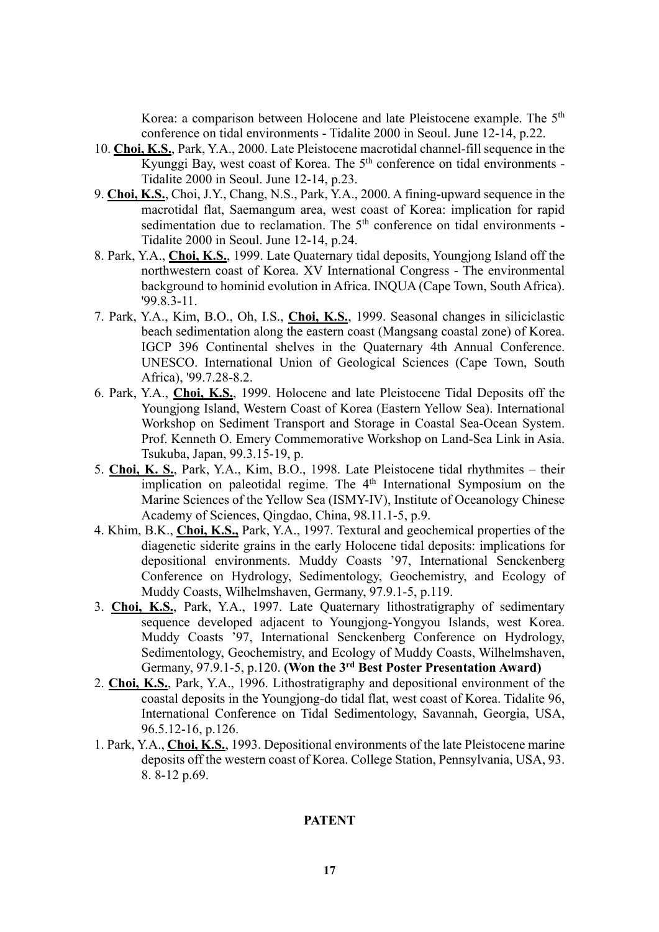Korea: a comparison between Holocene and late Pleistocene example. The 5<sup>th</sup> conference on tidal environments - Tidalite 2000 in Seoul. June 12-14, p.22.

- 10. **Choi, K.S.**, Park, Y.A., 2000. Late Pleistocene macrotidal channel-fill sequence in the Kyunggi Bay, west coast of Korea. The  $5<sup>th</sup>$  conference on tidal environments -Tidalite 2000 in Seoul. June 12-14, p.23.
- 9. **Choi, K.S.**, Choi, J.Y., Chang, N.S., Park, Y.A., 2000. A fining-upward sequence in the macrotidal flat, Saemangum area, west coast of Korea: implication for rapid sedimentation due to reclamation. The 5<sup>th</sup> conference on tidal environments -Tidalite 2000 in Seoul. June 12-14, p.24.
- 8. Park, Y.A., **Choi, K.S.**, 1999. Late Quaternary tidal deposits, Youngjong Island off the northwestern coast of Korea. XV International Congress - The environmental background to hominid evolution in Africa. INQUA (Cape Town, South Africa). '99.8.3-11.
- 7. Park, Y.A., Kim, B.O., Oh, I.S., **Choi, K.S.**, 1999. Seasonal changes in siliciclastic beach sedimentation along the eastern coast (Mangsang coastal zone) of Korea. IGCP 396 Continental shelves in the Quaternary 4th Annual Conference. UNESCO. International Union of Geological Sciences (Cape Town, South Africa), '99.7.28-8.2.
- 6. Park, Y.A., **Choi, K.S.**, 1999. Holocene and late Pleistocene Tidal Deposits off the Youngjong Island, Western Coast of Korea (Eastern Yellow Sea). International Workshop on Sediment Transport and Storage in Coastal Sea-Ocean System. Prof. Kenneth O. Emery Commemorative Workshop on Land-Sea Link in Asia. Tsukuba, Japan, 99.3.15-19, p.
- 5. **Choi, K. S.**, Park, Y.A., Kim, B.O., 1998. Late Pleistocene tidal rhythmites their implication on paleotidal regime. The 4<sup>th</sup> International Symposium on the Marine Sciences of the Yellow Sea (ISMY-IV), Institute of Oceanology Chinese Academy of Sciences, Qingdao, China, 98.11.1-5, p.9.
- 4. Khim, B.K., **Choi, K.S.,** Park, Y.A., 1997. Textural and geochemical properties of the diagenetic siderite grains in the early Holocene tidal deposits: implications for depositional environments. Muddy Coasts '97, International Senckenberg Conference on Hydrology, Sedimentology, Geochemistry, and Ecology of Muddy Coasts, Wilhelmshaven, Germany, 97.9.1-5, p.119.
- 3. **Choi, K.S.**, Park, Y.A., 1997. Late Quaternary lithostratigraphy of sedimentary sequence developed adjacent to Youngjong-Yongyou Islands, west Korea. Muddy Coasts '97, International Senckenberg Conference on Hydrology, Sedimentology, Geochemistry, and Ecology of Muddy Coasts, Wilhelmshaven, Germany, 97.9.1-5, p.120. **(Won the 3rd Best Poster Presentation Award)**
- 2. **Choi, K.S.**, Park, Y.A., 1996. Lithostratigraphy and depositional environment of the coastal deposits in the Youngjong-do tidal flat, west coast of Korea. Tidalite 96, International Conference on Tidal Sedimentology, Savannah, Georgia, USA, 96.5.12-16, p.126.
- 1. Park, Y.A., **Choi, K.S.**, 1993. Depositional environments of the late Pleistocene marine deposits off the western coast of Korea. College Station, Pennsylvania, USA, 93. 8. 8-12 p.69.

### **PATENT**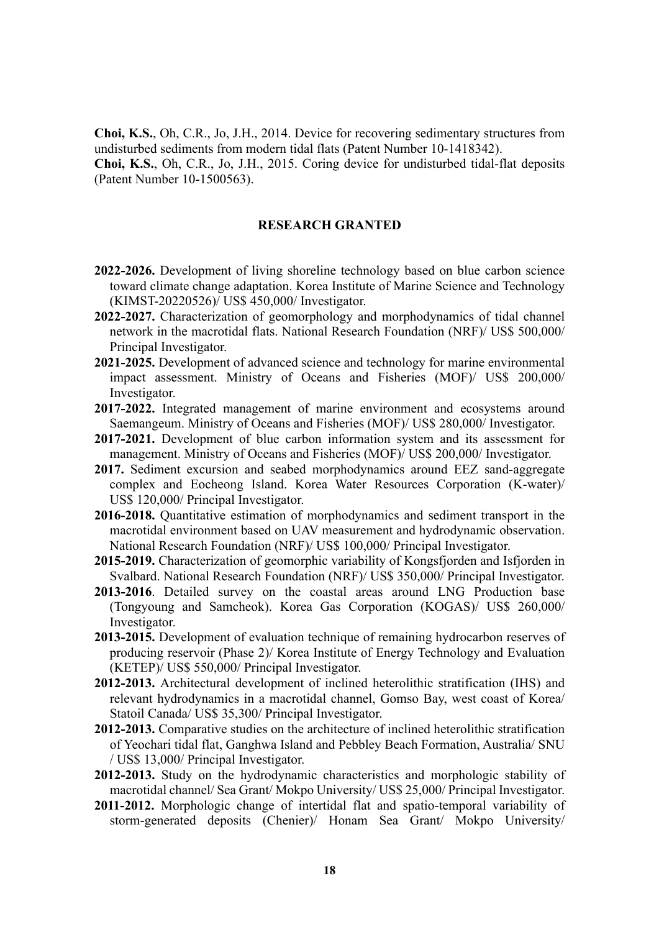**Choi, K.S.**, Oh, C.R., Jo, J.H., 2014. Device for recovering sedimentary structures from undisturbed sediments from modern tidal flats (Patent Number 10-1418342).

**Choi, K.S.**, Oh, C.R., Jo, J.H., 2015. Coring device for undisturbed tidal-flat deposits (Patent Number 10-1500563).

## **RESEARCH GRANTED**

- **2022-2026.** Development of living shoreline technology based on blue carbon science toward climate change adaptation. Korea Institute of Marine Science and Technology (KIMST-20220526)/ US\$ 450,000/ Investigator.
- **2022-2027.** Characterization of geomorphology and morphodynamics of tidal channel network in the macrotidal flats. National Research Foundation (NRF)/ US\$ 500,000/ Principal Investigator.
- **2021-2025.** Development of advanced science and technology for marine environmental impact assessment. Ministry of Oceans and Fisheries (MOF)/ US\$ 200,000/ Investigator.
- **2017-2022.** Integrated management of marine environment and ecosystems around Saemangeum. Ministry of Oceans and Fisheries (MOF)/ US\$ 280,000/ Investigator.
- **2017-2021.** Development of blue carbon information system and its assessment for management. Ministry of Oceans and Fisheries (MOF)/ US\$ 200,000/ Investigator.
- **2017.** Sediment excursion and seabed morphodynamics around EEZ sand-aggregate complex and Eocheong Island. Korea Water Resources Corporation (K-water)/ US\$ 120,000/ Principal Investigator.
- **2016-2018.** Quantitative estimation of morphodynamics and sediment transport in the macrotidal environment based on UAV measurement and hydrodynamic observation. National Research Foundation (NRF)/ US\$ 100,000/ Principal Investigator.
- **2015-2019.** Characterization of geomorphic variability of Kongsfjorden and Isfjorden in Svalbard. National Research Foundation (NRF)/ US\$ 350,000/ Principal Investigator.
- **2013-2016**. Detailed survey on the coastal areas around LNG Production base (Tongyoung and Samcheok). Korea Gas Corporation (KOGAS)/ US\$ 260,000/ Investigator.
- **2013-2015.** Development of evaluation technique of remaining hydrocarbon reserves of producing reservoir (Phase 2)/ Korea Institute of Energy Technology and Evaluation (KETEP)/ US\$ 550,000/ Principal Investigator.
- **2012-2013.** Architectural development of inclined heterolithic stratification (IHS) and relevant hydrodynamics in a macrotidal channel, Gomso Bay, west coast of Korea/ Statoil Canada/ US\$ 35,300/ Principal Investigator.
- **2012-2013.** Comparative studies on the architecture of inclined heterolithic stratification of Yeochari tidal flat, Ganghwa Island and Pebbley Beach Formation, Australia/ SNU / US\$ 13,000/ Principal Investigator.
- **2012-2013.** Study on the hydrodynamic characteristics and morphologic stability of macrotidal channel/ Sea Grant/ Mokpo University/ US\$ 25,000/ Principal Investigator.
- **2011-2012.** Morphologic change of intertidal flat and spatio-temporal variability of storm-generated deposits (Chenier)/ Honam Sea Grant/ Mokpo University/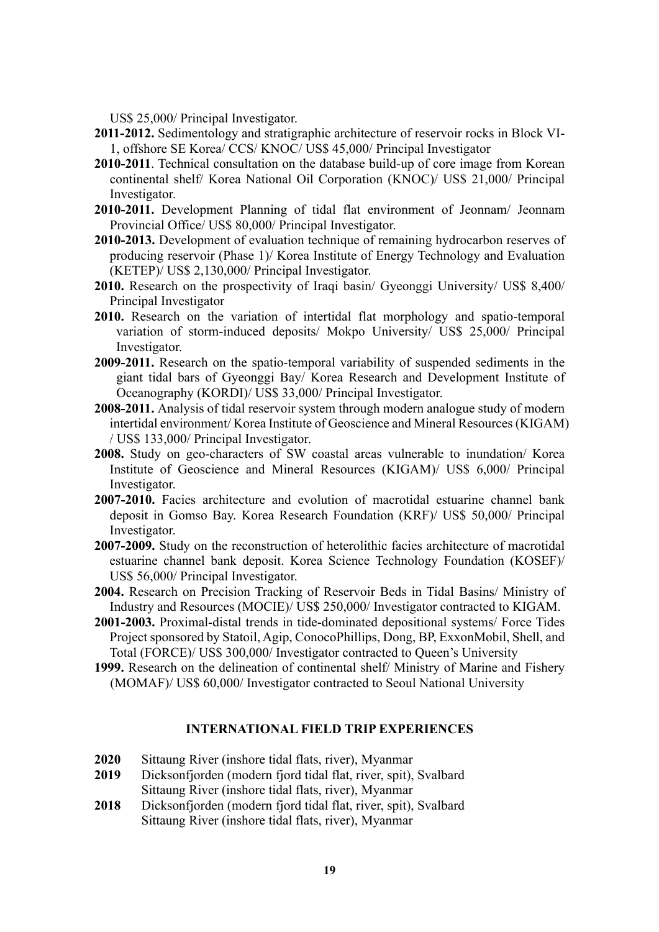US\$ 25,000/ Principal Investigator.

- **2011-2012.** Sedimentology and stratigraphic architecture of reservoir rocks in Block VI-1, offshore SE Korea/ CCS/ KNOC/ US\$ 45,000/ Principal Investigator
- **2010-2011**. Technical consultation on the database build-up of core image from Korean continental shelf/ Korea National Oil Corporation (KNOC)/ US\$ 21,000/ Principal Investigator.
- **2010-2011.** Development Planning of tidal flat environment of Jeonnam/ Jeonnam Provincial Office/ US\$ 80,000/ Principal Investigator.
- **2010-2013.** Development of evaluation technique of remaining hydrocarbon reserves of producing reservoir (Phase 1)/ Korea Institute of Energy Technology and Evaluation (KETEP)/ US\$ 2,130,000/ Principal Investigator.
- **2010.** Research on the prospectivity of Iraqi basin/ Gyeonggi University/ US\$ 8,400/ Principal Investigator
- **2010.** Research on the variation of intertidal flat morphology and spatio-temporal variation of storm-induced deposits/ Mokpo University/ US\$ 25,000/ Principal Investigator.
- **2009-2011.** Research on the spatio-temporal variability of suspended sediments in the giant tidal bars of Gyeonggi Bay/ Korea Research and Development Institute of Oceanography (KORDI)/ US\$ 33,000/ Principal Investigator.
- **2008-2011.** Analysis of tidal reservoir system through modern analogue study of modern intertidal environment/ Korea Institute of Geoscience and Mineral Resources (KIGAM) / US\$ 133,000/ Principal Investigator.
- **2008.** Study on geo-characters of SW coastal areas vulnerable to inundation/ Korea Institute of Geoscience and Mineral Resources (KIGAM)/ US\$ 6,000/ Principal Investigator.
- **2007-2010.** Facies architecture and evolution of macrotidal estuarine channel bank deposit in Gomso Bay. Korea Research Foundation (KRF)/ US\$ 50,000/ Principal Investigator.
- **2007-2009.** Study on the reconstruction of heterolithic facies architecture of macrotidal estuarine channel bank deposit. Korea Science Technology Foundation (KOSEF)/ US\$ 56,000/ Principal Investigator.
- **2004.** Research on Precision Tracking of Reservoir Beds in Tidal Basins/ Ministry of Industry and Resources (MOCIE)/ US\$ 250,000/ Investigator contracted to KIGAM.
- **2001-2003.** Proximal-distal trends in tide-dominated depositional systems/ Force Tides Project sponsored by Statoil, Agip, ConocoPhillips, Dong, BP, ExxonMobil, Shell, and Total (FORCE)/ US\$ 300,000/ Investigator contracted to Queen's University
- **1999.** Research on the delineation of continental shelf/ Ministry of Marine and Fishery (MOMAF)/ US\$ 60,000/ Investigator contracted to Seoul National University

## **INTERNATIONAL FIELD TRIP EXPERIENCES**

- **2020** Sittaung River (inshore tidal flats, river), Myanmar
- **2019** Dicksonfjorden (modern fjord tidal flat, river, spit), Svalbard Sittaung River (inshore tidal flats, river), Myanmar
- **2018** Dicksonfjorden (modern fjord tidal flat, river, spit), Svalbard Sittaung River (inshore tidal flats, river), Myanmar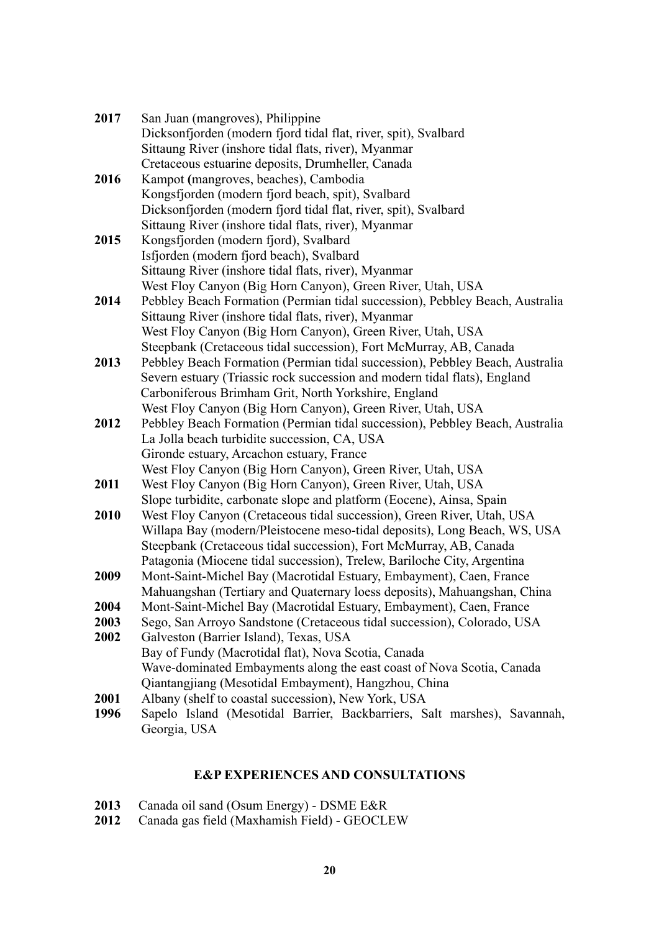| 2017 | San Juan (mangroves), Philippine                                                                                                                |
|------|-------------------------------------------------------------------------------------------------------------------------------------------------|
|      | Dicksonfjorden (modern fjord tidal flat, river, spit), Svalbard                                                                                 |
|      | Sittaung River (inshore tidal flats, river), Myanmar                                                                                            |
|      | Cretaceous estuarine deposits, Drumheller, Canada                                                                                               |
| 2016 | Kampot (mangroves, beaches), Cambodia                                                                                                           |
|      | Kongsfjorden (modern fjord beach, spit), Svalbard                                                                                               |
|      | Dicksonfjorden (modern fjord tidal flat, river, spit), Svalbard                                                                                 |
|      | Sittaung River (inshore tidal flats, river), Myanmar                                                                                            |
| 2015 | Kongsfjorden (modern fjord), Svalbard                                                                                                           |
|      | Isfjorden (modern fjord beach), Svalbard                                                                                                        |
|      | Sittaung River (inshore tidal flats, river), Myanmar                                                                                            |
|      | West Floy Canyon (Big Horn Canyon), Green River, Utah, USA                                                                                      |
| 2014 | Pebbley Beach Formation (Permian tidal succession), Pebbley Beach, Australia                                                                    |
|      | Sittaung River (inshore tidal flats, river), Myanmar                                                                                            |
|      | West Floy Canyon (Big Horn Canyon), Green River, Utah, USA                                                                                      |
|      | Steepbank (Cretaceous tidal succession), Fort McMurray, AB, Canada                                                                              |
| 2013 | Pebbley Beach Formation (Permian tidal succession), Pebbley Beach, Australia                                                                    |
|      | Severn estuary (Triassic rock succession and modern tidal flats), England                                                                       |
|      | Carboniferous Brimham Grit, North Yorkshire, England                                                                                            |
|      | West Floy Canyon (Big Horn Canyon), Green River, Utah, USA                                                                                      |
| 2012 | Pebbley Beach Formation (Permian tidal succession), Pebbley Beach, Australia                                                                    |
|      | La Jolla beach turbidite succession, CA, USA                                                                                                    |
|      | Gironde estuary, Arcachon estuary, France                                                                                                       |
|      | West Floy Canyon (Big Horn Canyon), Green River, Utah, USA                                                                                      |
| 2011 | West Floy Canyon (Big Horn Canyon), Green River, Utah, USA                                                                                      |
|      | Slope turbidite, carbonate slope and platform (Eocene), Ainsa, Spain                                                                            |
| 2010 | West Floy Canyon (Cretaceous tidal succession), Green River, Utah, USA                                                                          |
|      | Willapa Bay (modern/Pleistocene meso-tidal deposits), Long Beach, WS, USA                                                                       |
|      | Steepbank (Cretaceous tidal succession), Fort McMurray, AB, Canada                                                                              |
|      | Patagonia (Miocene tidal succession), Trelew, Bariloche City, Argentina                                                                         |
| 2009 | Mont-Saint-Michel Bay (Macrotidal Estuary, Embayment), Caen, France<br>Mahuangshan (Tertiary and Quaternary loess deposits), Mahuangshan, China |
| 2004 | Mont-Saint-Michel Bay (Macrotidal Estuary, Embayment), Caen, France                                                                             |
| 2003 | Sego, San Arroyo Sandstone (Cretaceous tidal succession), Colorado, USA                                                                         |
| 2002 | Galveston (Barrier Island), Texas, USA                                                                                                          |
|      | Bay of Fundy (Macrotidal flat), Nova Scotia, Canada                                                                                             |
|      | Wave-dominated Embayments along the east coast of Nova Scotia, Canada                                                                           |
|      | Qiantangjiang (Mesotidal Embayment), Hangzhou, China                                                                                            |
| 2001 | Albany (shelf to coastal succession), New York, USA                                                                                             |
| 1996 | Sapelo Island (Mesotidal Barrier, Backbarriers, Salt marshes), Savannah,                                                                        |
|      | Georgia, USA                                                                                                                                    |

# **E&P EXPERIENCES AND CONSULTATIONS**

- **2013** Canada oil sand (Osum Energy) DSME E&R
- **2012** Canada gas field (Maxhamish Field) GEOCLEW